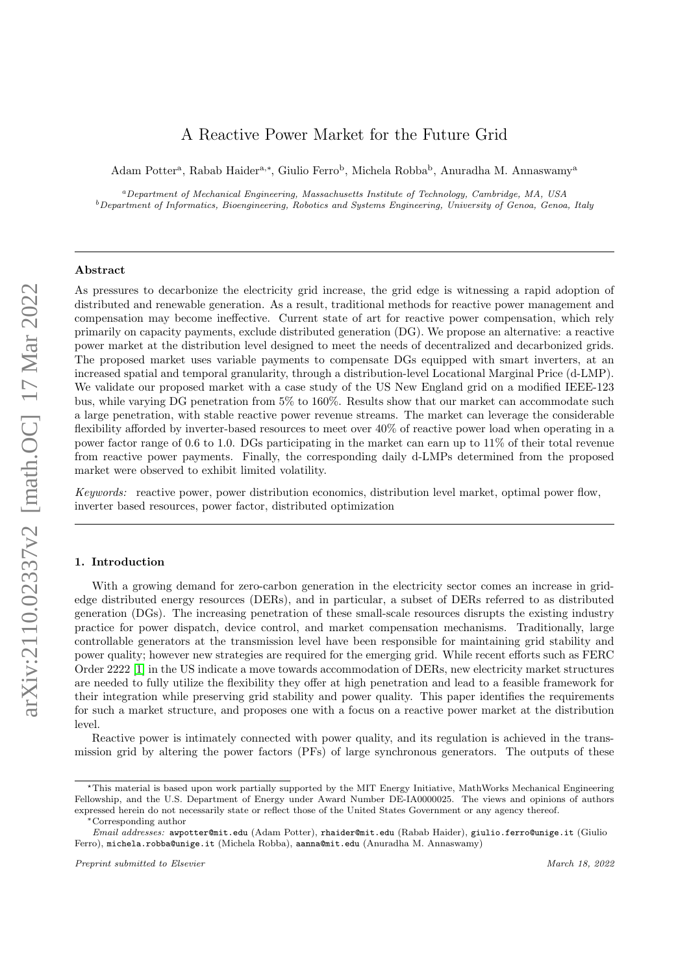# A Reactive Power Market for the Future Grid

Adam Potter<sup>a</sup>, Rabab Haider<sup>a,\*</sup>, Giulio Ferro<sup>b</sup>, Michela Robba<sup>b</sup>, Anuradha M. Annaswamy<sup>a</sup>

<sup>a</sup>Department of Mechanical Engineering, Massachusetts Institute of Technology, Cambridge, MA, USA  $^b$ Department of Informatics, Bioengineering, Robotics and Systems Engineering, University of Genoa, Genoa, Italy

### Abstract

As pressures to decarbonize the electricity grid increase, the grid edge is witnessing a rapid adoption of distributed and renewable generation. As a result, traditional methods for reactive power management and compensation may become ineffective. Current state of art for reactive power compensation, which rely primarily on capacity payments, exclude distributed generation (DG). We propose an alternative: a reactive power market at the distribution level designed to meet the needs of decentralized and decarbonized grids. The proposed market uses variable payments to compensate DGs equipped with smart inverters, at an increased spatial and temporal granularity, through a distribution-level Locational Marginal Price (d-LMP). We validate our proposed market with a case study of the US New England grid on a modified IEEE-123 bus, while varying DG penetration from 5% to 160%. Results show that our market can accommodate such a large penetration, with stable reactive power revenue streams. The market can leverage the considerable flexibility afforded by inverter-based resources to meet over 40% of reactive power load when operating in a power factor range of 0.6 to 1.0. DGs participating in the market can earn up to 11% of their total revenue from reactive power payments. Finally, the corresponding daily d-LMPs determined from the proposed market were observed to exhibit limited volatility.

Keywords: reactive power, power distribution economics, distribution level market, optimal power flow, inverter based resources, power factor, distributed optimization

# 1. Introduction

With a growing demand for zero-carbon generation in the electricity sector comes an increase in gridedge distributed energy resources (DERs), and in particular, a subset of DERs referred to as distributed generation (DGs). The increasing penetration of these small-scale resources disrupts the existing industry practice for power dispatch, device control, and market compensation mechanisms. Traditionally, large controllable generators at the transmission level have been responsible for maintaining grid stability and power quality; however new strategies are required for the emerging grid. While recent efforts such as FERC Order 2222 [\[1\]](#page-19-0) in the US indicate a move towards accommodation of DERs, new electricity market structures are needed to fully utilize the flexibility they offer at high penetration and lead to a feasible framework for their integration while preserving grid stability and power quality. This paper identifies the requirements for such a market structure, and proposes one with a focus on a reactive power market at the distribution level.

Reactive power is intimately connected with power quality, and its regulation is achieved in the transmission grid by altering the power factors (PFs) of large synchronous generators. The outputs of these

<sup>?</sup>This material is based upon work partially supported by the MIT Energy Initiative, MathWorks Mechanical Engineering Fellowship, and the U.S. Department of Energy under Award Number DE-IA0000025. The views and opinions of authors expressed herein do not necessarily state or reflect those of the United States Government or any agency thereof.

<sup>∗</sup>Corresponding author

Email addresses: awpotter@mit.edu (Adam Potter), rhaider@mit.edu (Rabab Haider), giulio.ferro@unige.it (Giulio Ferro), michela.robba@unige.it (Michela Robba), aanna@mit.edu (Anuradha M. Annaswamy)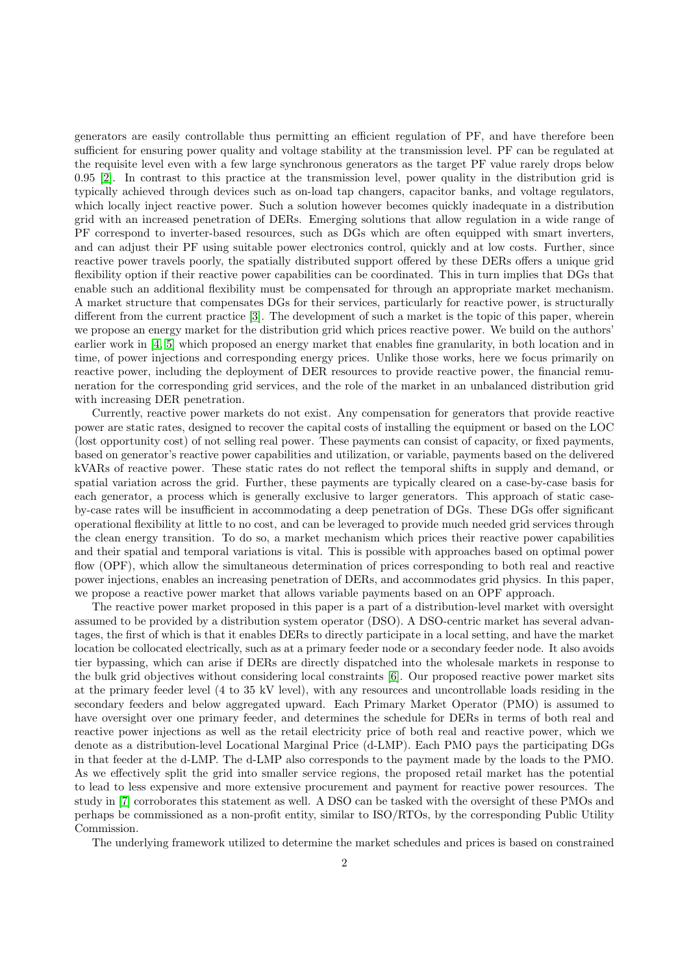generators are easily controllable thus permitting an efficient regulation of PF, and have therefore been sufficient for ensuring power quality and voltage stability at the transmission level. PF can be regulated at the requisite level even with a few large synchronous generators as the target PF value rarely drops below 0.95 [\[2\]](#page-19-1). In contrast to this practice at the transmission level, power quality in the distribution grid is typically achieved through devices such as on-load tap changers, capacitor banks, and voltage regulators, which locally inject reactive power. Such a solution however becomes quickly inadequate in a distribution grid with an increased penetration of DERs. Emerging solutions that allow regulation in a wide range of PF correspond to inverter-based resources, such as DGs which are often equipped with smart inverters, and can adjust their PF using suitable power electronics control, quickly and at low costs. Further, since reactive power travels poorly, the spatially distributed support offered by these DERs offers a unique grid flexibility option if their reactive power capabilities can be coordinated. This in turn implies that DGs that enable such an additional flexibility must be compensated for through an appropriate market mechanism. A market structure that compensates DGs for their services, particularly for reactive power, is structurally different from the current practice [\[3\]](#page-19-2). The development of such a market is the topic of this paper, wherein we propose an energy market for the distribution grid which prices reactive power. We build on the authors' earlier work in [\[4,](#page-19-3) [5\]](#page-19-4) which proposed an energy market that enables fine granularity, in both location and in time, of power injections and corresponding energy prices. Unlike those works, here we focus primarily on reactive power, including the deployment of DER resources to provide reactive power, the financial remuneration for the corresponding grid services, and the role of the market in an unbalanced distribution grid with increasing DER penetration.

Currently, reactive power markets do not exist. Any compensation for generators that provide reactive power are static rates, designed to recover the capital costs of installing the equipment or based on the LOC (lost opportunity cost) of not selling real power. These payments can consist of capacity, or fixed payments, based on generator's reactive power capabilities and utilization, or variable, payments based on the delivered kVARs of reactive power. These static rates do not reflect the temporal shifts in supply and demand, or spatial variation across the grid. Further, these payments are typically cleared on a case-by-case basis for each generator, a process which is generally exclusive to larger generators. This approach of static caseby-case rates will be insufficient in accommodating a deep penetration of DGs. These DGs offer significant operational flexibility at little to no cost, and can be leveraged to provide much needed grid services through the clean energy transition. To do so, a market mechanism which prices their reactive power capabilities and their spatial and temporal variations is vital. This is possible with approaches based on optimal power flow (OPF), which allow the simultaneous determination of prices corresponding to both real and reactive power injections, enables an increasing penetration of DERs, and accommodates grid physics. In this paper, we propose a reactive power market that allows variable payments based on an OPF approach.

The reactive power market proposed in this paper is a part of a distribution-level market with oversight assumed to be provided by a distribution system operator (DSO). A DSO-centric market has several advantages, the first of which is that it enables DERs to directly participate in a local setting, and have the market location be collocated electrically, such as at a primary feeder node or a secondary feeder node. It also avoids tier bypassing, which can arise if DERs are directly dispatched into the wholesale markets in response to the bulk grid objectives without considering local constraints [\[6\]](#page-19-5). Our proposed reactive power market sits at the primary feeder level (4 to 35 kV level), with any resources and uncontrollable loads residing in the secondary feeders and below aggregated upward. Each Primary Market Operator (PMO) is assumed to have oversight over one primary feeder, and determines the schedule for DERs in terms of both real and reactive power injections as well as the retail electricity price of both real and reactive power, which we denote as a distribution-level Locational Marginal Price (d-LMP). Each PMO pays the participating DGs in that feeder at the d-LMP. The d-LMP also corresponds to the payment made by the loads to the PMO. As we effectively split the grid into smaller service regions, the proposed retail market has the potential to lead to less expensive and more extensive procurement and payment for reactive power resources. The study in [\[7\]](#page-19-6) corroborates this statement as well. A DSO can be tasked with the oversight of these PMOs and perhaps be commissioned as a non-profit entity, similar to ISO/RTOs, by the corresponding Public Utility Commission.

The underlying framework utilized to determine the market schedules and prices is based on constrained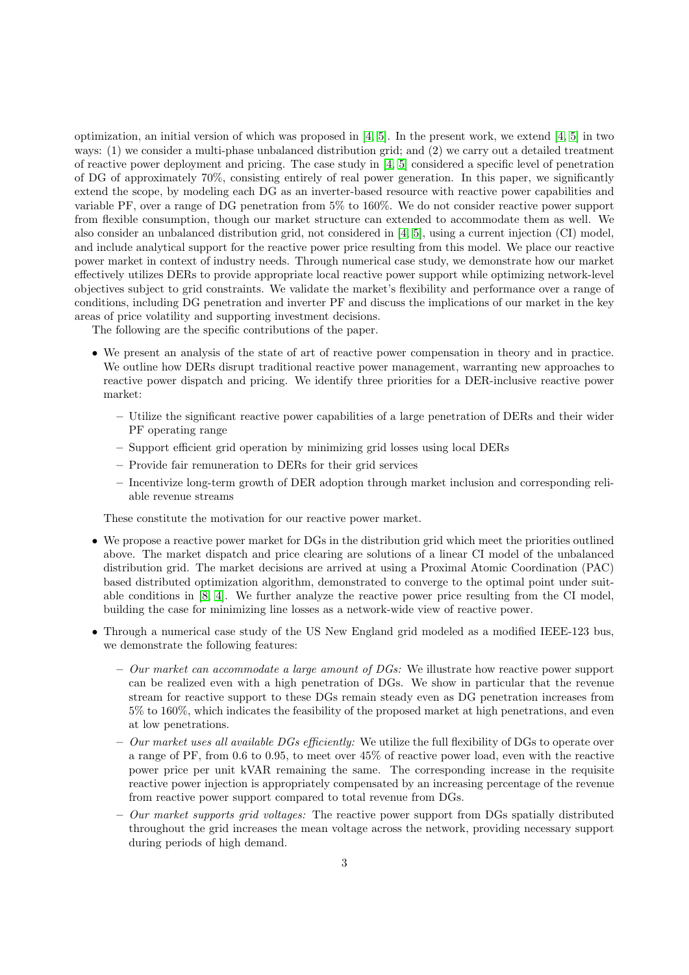optimization, an initial version of which was proposed in [\[4,](#page-19-3) [5\]](#page-19-4). In the present work, we extend [\[4,](#page-19-3) [5\]](#page-19-4) in two ways: (1) we consider a multi-phase unbalanced distribution grid; and (2) we carry out a detailed treatment of reactive power deployment and pricing. The case study in [\[4,](#page-19-3) [5\]](#page-19-4) considered a specific level of penetration of DG of approximately 70%, consisting entirely of real power generation. In this paper, we significantly extend the scope, by modeling each DG as an inverter-based resource with reactive power capabilities and variable PF, over a range of DG penetration from 5% to 160%. We do not consider reactive power support from flexible consumption, though our market structure can extended to accommodate them as well. We also consider an unbalanced distribution grid, not considered in [\[4,](#page-19-3) [5\]](#page-19-4), using a current injection (CI) model, and include analytical support for the reactive power price resulting from this model. We place our reactive power market in context of industry needs. Through numerical case study, we demonstrate how our market effectively utilizes DERs to provide appropriate local reactive power support while optimizing network-level objectives subject to grid constraints. We validate the market's flexibility and performance over a range of conditions, including DG penetration and inverter PF and discuss the implications of our market in the key areas of price volatility and supporting investment decisions.

The following are the specific contributions of the paper.

- We present an analysis of the state of art of reactive power compensation in theory and in practice. We outline how DERs disrupt traditional reactive power management, warranting new approaches to reactive power dispatch and pricing. We identify three priorities for a DER-inclusive reactive power market:
	- Utilize the significant reactive power capabilities of a large penetration of DERs and their wider PF operating range
	- Support efficient grid operation by minimizing grid losses using local DERs
	- Provide fair remuneration to DERs for their grid services
	- Incentivize long-term growth of DER adoption through market inclusion and corresponding reliable revenue streams

These constitute the motivation for our reactive power market.

- We propose a reactive power market for DGs in the distribution grid which meet the priorities outlined above. The market dispatch and price clearing are solutions of a linear CI model of the unbalanced distribution grid. The market decisions are arrived at using a Proximal Atomic Coordination (PAC) based distributed optimization algorithm, demonstrated to converge to the optimal point under suitable conditions in [\[8,](#page-19-7) [4\]](#page-19-3). We further analyze the reactive power price resulting from the CI model, building the case for minimizing line losses as a network-wide view of reactive power.
- Through a numerical case study of the US New England grid modeled as a modified IEEE-123 bus, we demonstrate the following features:
	- Our market can accommodate a large amount of  $DGs$ : We illustrate how reactive power support can be realized even with a high penetration of DGs. We show in particular that the revenue stream for reactive support to these DGs remain steady even as DG penetration increases from 5% to 160%, which indicates the feasibility of the proposed market at high penetrations, and even at low penetrations.
	- $-$  Our market uses all available DGs efficiently: We utilize the full flexibility of DGs to operate over a range of PF, from 0.6 to 0.95, to meet over 45% of reactive power load, even with the reactive power price per unit kVAR remaining the same. The corresponding increase in the requisite reactive power injection is appropriately compensated by an increasing percentage of the revenue from reactive power support compared to total revenue from DGs.
	- $-$  *Our market supports grid voltages:* The reactive power support from DGs spatially distributed throughout the grid increases the mean voltage across the network, providing necessary support during periods of high demand.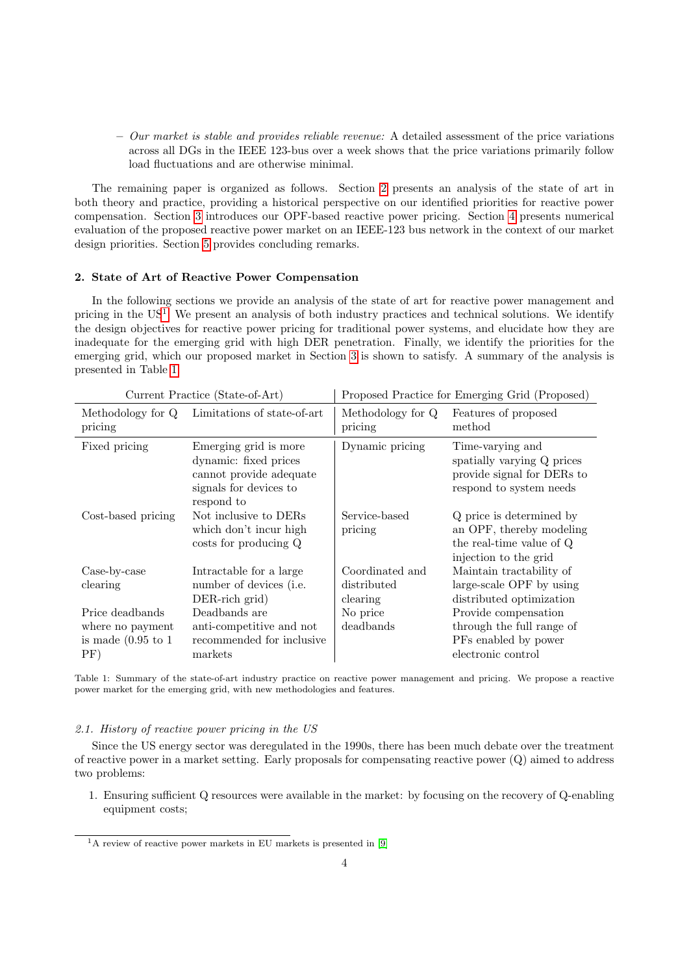$-Our market is stable and provides reliable revenue: A detailed assessment of the price variations$ across all DGs in the IEEE 123-bus over a week shows that the price variations primarily follow load fluctuations and are otherwise minimal.

The remaining paper is organized as follows. Section [2](#page-3-0) presents an analysis of the state of art in both theory and practice, providing a historical perspective on our identified priorities for reactive power compensation. Section [3](#page-7-0) introduces our OPF-based reactive power pricing. Section [4](#page-12-0) presents numerical evaluation of the proposed reactive power market on an IEEE-123 bus network in the context of our market design priorities. Section [5](#page-18-0) provides concluding remarks.

# <span id="page-3-0"></span>2. State of Art of Reactive Power Compensation

In the following sections we provide an analysis of the state of art for reactive power management and pricing in the US<sup>[1](#page-3-1)</sup>. We present an analysis of both industry practices and technical solutions. We identify the design objectives for reactive power pricing for traditional power systems, and elucidate how they are inadequate for the emerging grid with high DER penetration. Finally, we identify the priorities for the emerging grid, which our proposed market in Section [3](#page-7-0) is shown to satisfy. A summary of the analysis is presented in Table [1.](#page-3-2)

<span id="page-3-2"></span>

| Current Practice (State-of-Art)                                              |                                                                                                                   | Proposed Practice for Emerging Grid (Proposed) |                                                                                                           |  |
|------------------------------------------------------------------------------|-------------------------------------------------------------------------------------------------------------------|------------------------------------------------|-----------------------------------------------------------------------------------------------------------|--|
| Methodology for Q<br>pricing                                                 | Limitations of state-of-art                                                                                       | Methodology for Q<br>pricing                   | Features of proposed<br>method                                                                            |  |
| Fixed pricing                                                                | Emerging grid is more<br>dynamic: fixed prices<br>cannot provide adequate<br>signals for devices to<br>respond to | Dynamic pricing                                | Time-varying and<br>spatially varying Q prices<br>provide signal for DERs to<br>respond to system needs   |  |
| Cost-based pricing                                                           | Not inclusive to DERs<br>which don't incur high<br>costs for producing Q                                          | Service-based<br>pricing                       | Q price is determined by<br>an OPF, thereby modeling<br>the real-time value of Q<br>injection to the grid |  |
| Case-by-case<br>clearing                                                     | Intractable for a large<br>number of devices (i.e.<br>DER-rich grid)                                              | Coordinated and<br>distributed<br>clearing     | Maintain tractability of<br>large-scale OPF by using<br>distributed optimization                          |  |
| Price deadbands<br>where no payment<br>is made $(0.95 \text{ to } 1)$<br>PF) | Deadbands are<br>anti-competitive and not<br>recommended for inclusive<br>markets                                 | No price<br>deadbands                          | Provide compensation<br>through the full range of<br>PFs enabled by power<br>electronic control           |  |

Table 1: Summary of the state-of-art industry practice on reactive power management and pricing. We propose a reactive power market for the emerging grid, with new methodologies and features.

# 2.1. History of reactive power pricing in the US

Since the US energy sector was deregulated in the 1990s, there has been much debate over the treatment of reactive power in a market setting. Early proposals for compensating reactive power  $(Q)$  aimed to address two problems:

1. Ensuring sufficient Q resources were available in the market: by focusing on the recovery of Q-enabling equipment costs;

<span id="page-3-1"></span> $1A$  review of reactive power markets in EU markets is presented in [\[9\]](#page-19-8)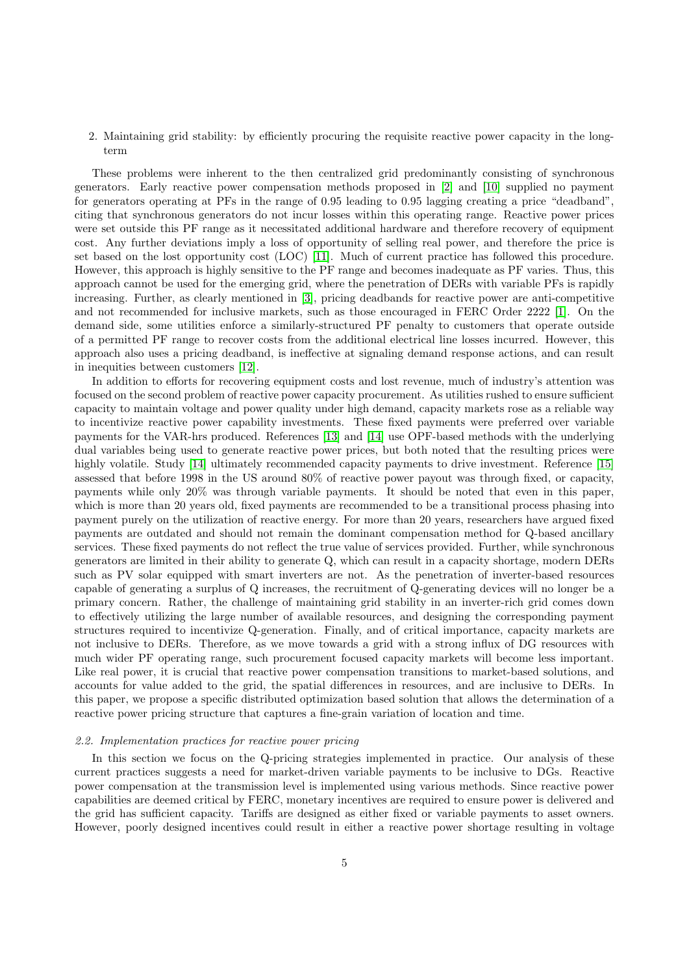# 2. Maintaining grid stability: by efficiently procuring the requisite reactive power capacity in the longterm

These problems were inherent to the then centralized grid predominantly consisting of synchronous generators. Early reactive power compensation methods proposed in [\[2\]](#page-19-1) and [\[10\]](#page-19-9) supplied no payment for generators operating at PFs in the range of 0.95 leading to 0.95 lagging creating a price "deadband", citing that synchronous generators do not incur losses within this operating range. Reactive power prices were set outside this PF range as it necessitated additional hardware and therefore recovery of equipment cost. Any further deviations imply a loss of opportunity of selling real power, and therefore the price is set based on the lost opportunity cost (LOC) [\[11\]](#page-19-10). Much of current practice has followed this procedure. However, this approach is highly sensitive to the PF range and becomes inadequate as PF varies. Thus, this approach cannot be used for the emerging grid, where the penetration of DERs with variable PFs is rapidly increasing. Further, as clearly mentioned in [\[3\]](#page-19-2), pricing deadbands for reactive power are anti-competitive and not recommended for inclusive markets, such as those encouraged in FERC Order 2222 [\[1\]](#page-19-0). On the demand side, some utilities enforce a similarly-structured PF penalty to customers that operate outside of a permitted PF range to recover costs from the additional electrical line losses incurred. However, this approach also uses a pricing deadband, is ineffective at signaling demand response actions, and can result in inequities between customers [\[12\]](#page-19-11).

In addition to efforts for recovering equipment costs and lost revenue, much of industry's attention was focused on the second problem of reactive power capacity procurement. As utilities rushed to ensure sufficient capacity to maintain voltage and power quality under high demand, capacity markets rose as a reliable way to incentivize reactive power capability investments. These fixed payments were preferred over variable payments for the VAR-hrs produced. References [\[13\]](#page-19-12) and [\[14\]](#page-19-13) use OPF-based methods with the underlying dual variables being used to generate reactive power prices, but both noted that the resulting prices were highly volatile. Study [\[14\]](#page-19-13) ultimately recommended capacity payments to drive investment. Reference [\[15\]](#page-19-14) assessed that before 1998 in the US around 80% of reactive power payout was through fixed, or capacity, payments while only 20% was through variable payments. It should be noted that even in this paper, which is more than 20 years old, fixed payments are recommended to be a transitional process phasing into payment purely on the utilization of reactive energy. For more than 20 years, researchers have argued fixed payments are outdated and should not remain the dominant compensation method for Q-based ancillary services. These fixed payments do not reflect the true value of services provided. Further, while synchronous generators are limited in their ability to generate Q, which can result in a capacity shortage, modern DERs such as PV solar equipped with smart inverters are not. As the penetration of inverter-based resources capable of generating a surplus of Q increases, the recruitment of Q-generating devices will no longer be a primary concern. Rather, the challenge of maintaining grid stability in an inverter-rich grid comes down to effectively utilizing the large number of available resources, and designing the corresponding payment structures required to incentivize Q-generation. Finally, and of critical importance, capacity markets are not inclusive to DERs. Therefore, as we move towards a grid with a strong influx of DG resources with much wider PF operating range, such procurement focused capacity markets will become less important. Like real power, it is crucial that reactive power compensation transitions to market-based solutions, and accounts for value added to the grid, the spatial differences in resources, and are inclusive to DERs. In this paper, we propose a specific distributed optimization based solution that allows the determination of a reactive power pricing structure that captures a fine-grain variation of location and time.

# 2.2. Implementation practices for reactive power pricing

In this section we focus on the Q-pricing strategies implemented in practice. Our analysis of these current practices suggests a need for market-driven variable payments to be inclusive to DGs. Reactive power compensation at the transmission level is implemented using various methods. Since reactive power capabilities are deemed critical by FERC, monetary incentives are required to ensure power is delivered and the grid has sufficient capacity. Tariffs are designed as either fixed or variable payments to asset owners. However, poorly designed incentives could result in either a reactive power shortage resulting in voltage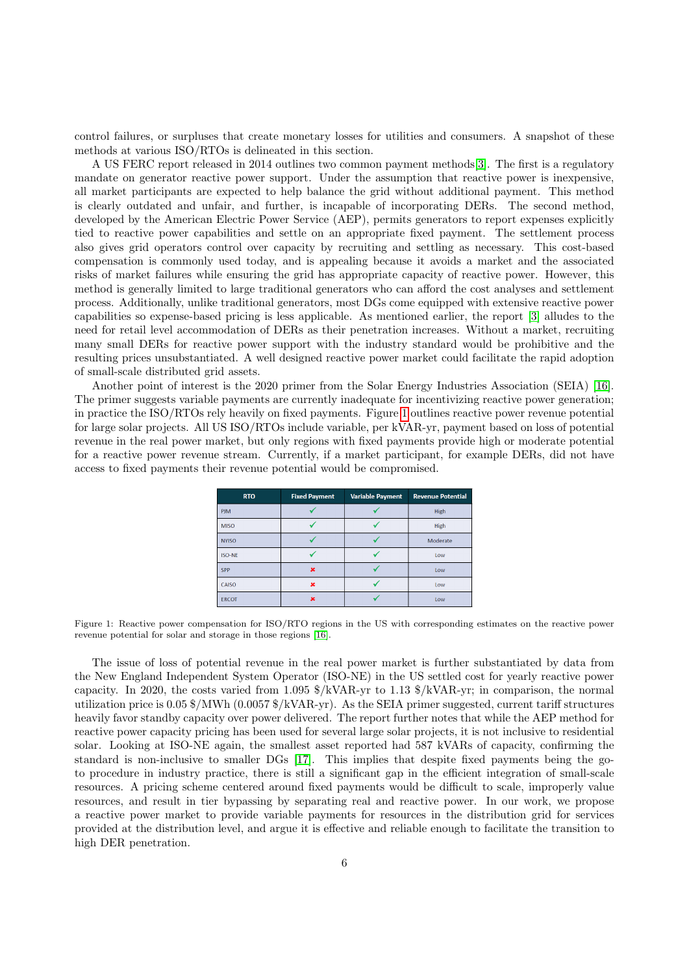control failures, or surpluses that create monetary losses for utilities and consumers. A snapshot of these methods at various ISO/RTOs is delineated in this section.

A US FERC report released in 2014 outlines two common payment methods[\[3\]](#page-19-2). The first is a regulatory mandate on generator reactive power support. Under the assumption that reactive power is inexpensive, all market participants are expected to help balance the grid without additional payment. This method is clearly outdated and unfair, and further, is incapable of incorporating DERs. The second method, developed by the American Electric Power Service (AEP), permits generators to report expenses explicitly tied to reactive power capabilities and settle on an appropriate fixed payment. The settlement process also gives grid operators control over capacity by recruiting and settling as necessary. This cost-based compensation is commonly used today, and is appealing because it avoids a market and the associated risks of market failures while ensuring the grid has appropriate capacity of reactive power. However, this method is generally limited to large traditional generators who can afford the cost analyses and settlement process. Additionally, unlike traditional generators, most DGs come equipped with extensive reactive power capabilities so expense-based pricing is less applicable. As mentioned earlier, the report [\[3\]](#page-19-2) alludes to the need for retail level accommodation of DERs as their penetration increases. Without a market, recruiting many small DERs for reactive power support with the industry standard would be prohibitive and the resulting prices unsubstantiated. A well designed reactive power market could facilitate the rapid adoption of small-scale distributed grid assets.

<span id="page-5-0"></span>Another point of interest is the 2020 primer from the Solar Energy Industries Association (SEIA) [\[16\]](#page-19-15). The primer suggests variable payments are currently inadequate for incentivizing reactive power generation; in practice the ISO/RTOs rely heavily on fixed payments. Figure [1](#page-5-0) outlines reactive power revenue potential for large solar projects. All US ISO/RTOs include variable, per kVAR-yr, payment based on loss of potential revenue in the real power market, but only regions with fixed payments provide high or moderate potential for a reactive power revenue stream. Currently, if a market participant, for example DERs, did not have access to fixed payments their revenue potential would be compromised.

| <b>RTO</b>    | <b>Fixed Payment</b> | <b>Variable Payment</b> | <b>Revenue Potential</b> |
|---------------|----------------------|-------------------------|--------------------------|
| <b>PJM</b>    |                      |                         | High                     |
| <b>MISO</b>   |                      |                         | <b>High</b>              |
| <b>NYISO</b>  |                      |                         | Moderate                 |
| <b>ISO-NE</b> |                      |                         | Low                      |
| <b>SPP</b>    | ×                    |                         | Low                      |
| CAISO         | ×                    |                         | Low                      |
| <b>ERCOT</b>  | se                   |                         | Low                      |

Figure 1: Reactive power compensation for ISO/RTO regions in the US with corresponding estimates on the reactive power revenue potential for solar and storage in those regions [\[16\]](#page-19-15).

The issue of loss of potential revenue in the real power market is further substantiated by data from the New England Independent System Operator (ISO-NE) in the US settled cost for yearly reactive power capacity. In 2020, the costs varied from 1.095 \$/kVAR-yr to 1.13 \$/kVAR-yr; in comparison, the normal utilization price is 0.05 \$/MWh (0.0057 \$/kVAR-yr). As the SEIA primer suggested, current tariff structures heavily favor standby capacity over power delivered. The report further notes that while the AEP method for reactive power capacity pricing has been used for several large solar projects, it is not inclusive to residential solar. Looking at ISO-NE again, the smallest asset reported had 587 kVARs of capacity, confirming the standard is non-inclusive to smaller DGs [\[17\]](#page-19-16). This implies that despite fixed payments being the goto procedure in industry practice, there is still a significant gap in the efficient integration of small-scale resources. A pricing scheme centered around fixed payments would be difficult to scale, improperly value resources, and result in tier bypassing by separating real and reactive power. In our work, we propose a reactive power market to provide variable payments for resources in the distribution grid for services provided at the distribution level, and argue it is effective and reliable enough to facilitate the transition to high DER penetration.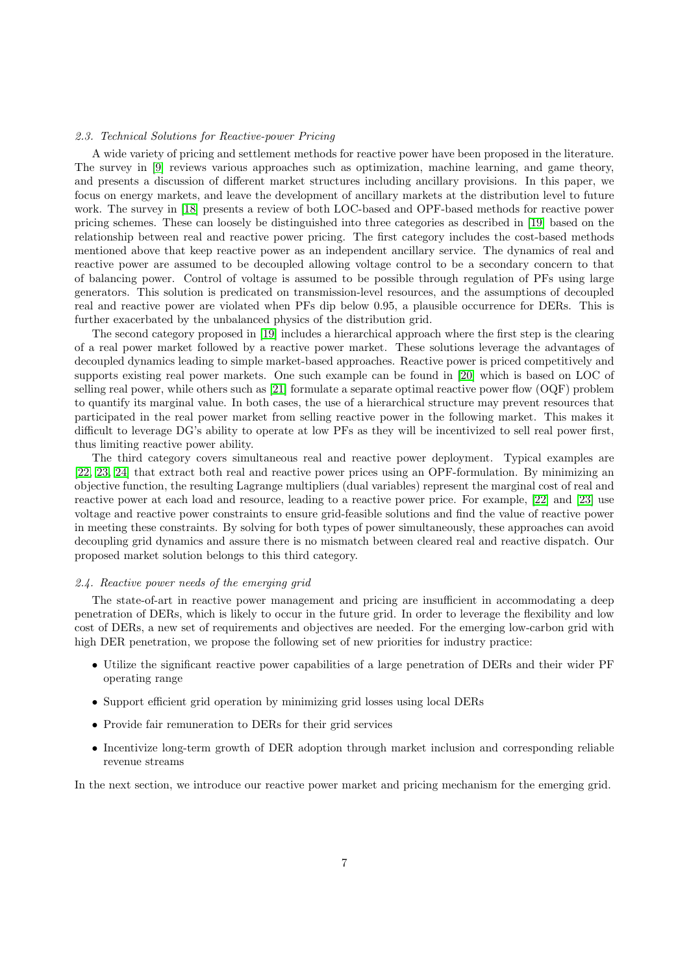# 2.3. Technical Solutions for Reactive-power Pricing

A wide variety of pricing and settlement methods for reactive power have been proposed in the literature. The survey in [\[9\]](#page-19-8) reviews various approaches such as optimization, machine learning, and game theory, and presents a discussion of different market structures including ancillary provisions. In this paper, we focus on energy markets, and leave the development of ancillary markets at the distribution level to future work. The survey in [\[18\]](#page-19-17) presents a review of both LOC-based and OPF-based methods for reactive power pricing schemes. These can loosely be distinguished into three categories as described in [\[19\]](#page-19-18) based on the relationship between real and reactive power pricing. The first category includes the cost-based methods mentioned above that keep reactive power as an independent ancillary service. The dynamics of real and reactive power are assumed to be decoupled allowing voltage control to be a secondary concern to that of balancing power. Control of voltage is assumed to be possible through regulation of PFs using large generators. This solution is predicated on transmission-level resources, and the assumptions of decoupled real and reactive power are violated when PFs dip below 0.95, a plausible occurrence for DERs. This is further exacerbated by the unbalanced physics of the distribution grid.

The second category proposed in [\[19\]](#page-19-18) includes a hierarchical approach where the first step is the clearing of a real power market followed by a reactive power market. These solutions leverage the advantages of decoupled dynamics leading to simple market-based approaches. Reactive power is priced competitively and supports existing real power markets. One such example can be found in [\[20\]](#page-19-19) which is based on LOC of selling real power, while others such as [\[21\]](#page-19-20) formulate a separate optimal reactive power flow (OQF) problem to quantify its marginal value. In both cases, the use of a hierarchical structure may prevent resources that participated in the real power market from selling reactive power in the following market. This makes it difficult to leverage DG's ability to operate at low PFs as they will be incentivized to sell real power first, thus limiting reactive power ability.

The third category covers simultaneous real and reactive power deployment. Typical examples are [\[22,](#page-19-21) [23,](#page-19-22) [24\]](#page-19-23) that extract both real and reactive power prices using an OPF-formulation. By minimizing an objective function, the resulting Lagrange multipliers (dual variables) represent the marginal cost of real and reactive power at each load and resource, leading to a reactive power price. For example, [\[22\]](#page-19-21) and [\[23\]](#page-19-22) use voltage and reactive power constraints to ensure grid-feasible solutions and find the value of reactive power in meeting these constraints. By solving for both types of power simultaneously, these approaches can avoid decoupling grid dynamics and assure there is no mismatch between cleared real and reactive dispatch. Our proposed market solution belongs to this third category.

#### 2.4. Reactive power needs of the emerging grid

The state-of-art in reactive power management and pricing are insufficient in accommodating a deep penetration of DERs, which is likely to occur in the future grid. In order to leverage the flexibility and low cost of DERs, a new set of requirements and objectives are needed. For the emerging low-carbon grid with high DER penetration, we propose the following set of new priorities for industry practice:

- Utilize the significant reactive power capabilities of a large penetration of DERs and their wider PF operating range
- Support efficient grid operation by minimizing grid losses using local DERs
- Provide fair remuneration to DERs for their grid services
- Incentivize long-term growth of DER adoption through market inclusion and corresponding reliable revenue streams

In the next section, we introduce our reactive power market and pricing mechanism for the emerging grid.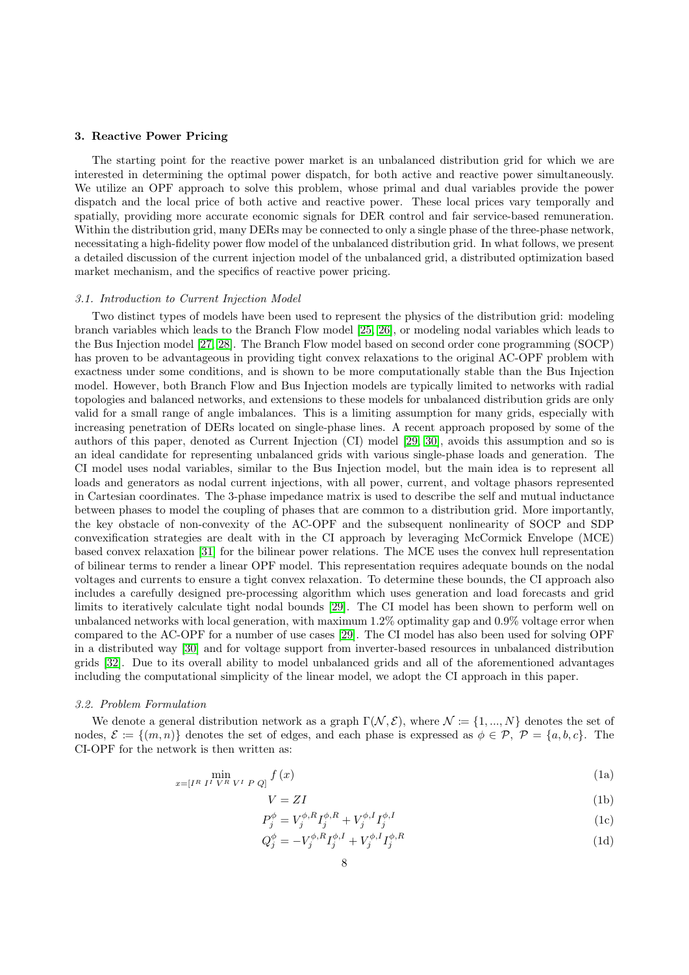### <span id="page-7-0"></span>3. Reactive Power Pricing

The starting point for the reactive power market is an unbalanced distribution grid for which we are interested in determining the optimal power dispatch, for both active and reactive power simultaneously. We utilize an OPF approach to solve this problem, whose primal and dual variables provide the power dispatch and the local price of both active and reactive power. These local prices vary temporally and spatially, providing more accurate economic signals for DER control and fair service-based remuneration. Within the distribution grid, many DERs may be connected to only a single phase of the three-phase network, necessitating a high-fidelity power flow model of the unbalanced distribution grid. In what follows, we present a detailed discussion of the current injection model of the unbalanced grid, a distributed optimization based market mechanism, and the specifics of reactive power pricing.

### 3.1. Introduction to Current Injection Model

Two distinct types of models have been used to represent the physics of the distribution grid: modeling branch variables which leads to the Branch Flow model [\[25,](#page-20-0) [26\]](#page-20-1), or modeling nodal variables which leads to the Bus Injection model [\[27,](#page-20-2) [28\]](#page-20-3). The Branch Flow model based on second order cone programming (SOCP) has proven to be advantageous in providing tight convex relaxations to the original AC-OPF problem with exactness under some conditions, and is shown to be more computationally stable than the Bus Injection model. However, both Branch Flow and Bus Injection models are typically limited to networks with radial topologies and balanced networks, and extensions to these models for unbalanced distribution grids are only valid for a small range of angle imbalances. This is a limiting assumption for many grids, especially with increasing penetration of DERs located on single-phase lines. A recent approach proposed by some of the authors of this paper, denoted as Current Injection (CI) model [\[29,](#page-20-4) [30\]](#page-20-5), avoids this assumption and so is an ideal candidate for representing unbalanced grids with various single-phase loads and generation. The CI model uses nodal variables, similar to the Bus Injection model, but the main idea is to represent all loads and generators as nodal current injections, with all power, current, and voltage phasors represented in Cartesian coordinates. The 3-phase impedance matrix is used to describe the self and mutual inductance between phases to model the coupling of phases that are common to a distribution grid. More importantly, the key obstacle of non-convexity of the AC-OPF and the subsequent nonlinearity of SOCP and SDP convexification strategies are dealt with in the CI approach by leveraging McCormick Envelope (MCE) based convex relaxation [\[31\]](#page-20-6) for the bilinear power relations. The MCE uses the convex hull representation of bilinear terms to render a linear OPF model. This representation requires adequate bounds on the nodal voltages and currents to ensure a tight convex relaxation. To determine these bounds, the CI approach also includes a carefully designed pre-processing algorithm which uses generation and load forecasts and grid limits to iteratively calculate tight nodal bounds [\[29\]](#page-20-4). The CI model has been shown to perform well on unbalanced networks with local generation, with maximum 1.2% optimality gap and 0.9% voltage error when compared to the AC-OPF for a number of use cases [\[29\]](#page-20-4). The CI model has also been used for solving OPF in a distributed way [\[30\]](#page-20-5) and for voltage support from inverter-based resources in unbalanced distribution grids [\[32\]](#page-20-7). Due to its overall ability to model unbalanced grids and all of the aforementioned advantages including the computational simplicity of the linear model, we adopt the CI approach in this paper.

#### 3.2. Problem Formulation

We denote a general distribution network as a graph  $\Gamma(\mathcal{N}, \mathcal{E})$ , where  $\mathcal{N} := \{1, ..., N\}$  denotes the set of nodes,  $\mathcal{E} := \{(m, n)\}\$  denotes the set of edges, and each phase is expressed as  $\phi \in \mathcal{P}, \ \mathcal{P} = \{a, b, c\}.$  The CI-OPF for the network is then written as:

$$
\min_{x=[I^R \ I^I \ V^R \ V^I \ P \ Q]} f(x) \tag{1a}
$$

<span id="page-7-5"></span><span id="page-7-4"></span><span id="page-7-3"></span><span id="page-7-2"></span><span id="page-7-1"></span>
$$
V = ZI \tag{1b}
$$

$$
P_j^{\phi} = V_j^{\phi, R} I_j^{\phi, R} + V_j^{\phi, I} I_j^{\phi, I}
$$
 (1c)

$$
Q_j^{\phi} = -V_j^{\phi, R} I_j^{\phi, I} + V_j^{\phi, I} I_j^{\phi, R}
$$
\n
$$
\tag{1d}
$$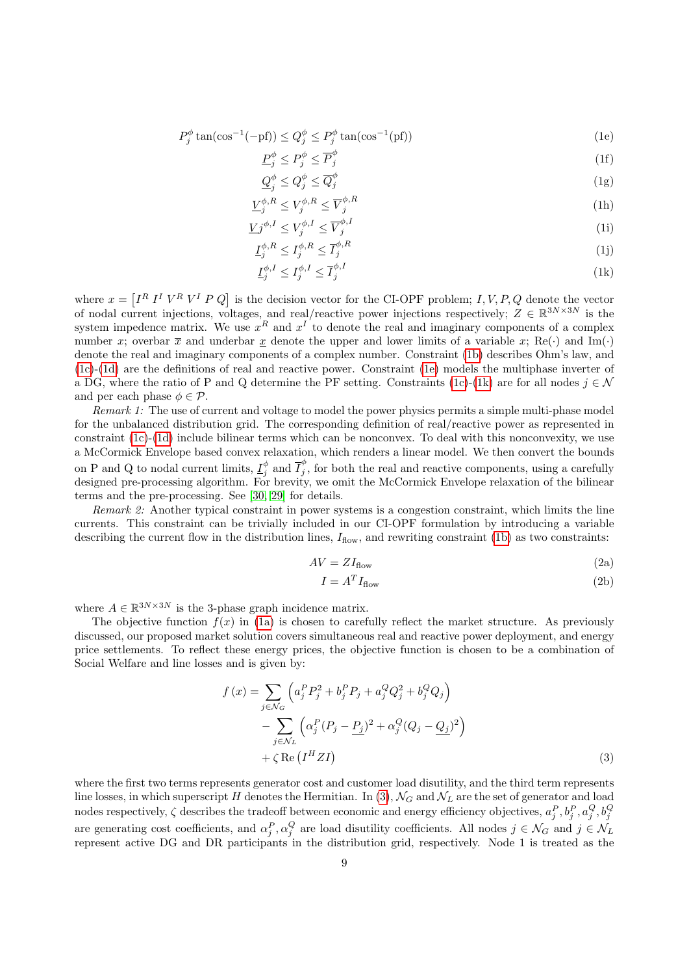$$
P_j^{\phi} \tan(\cos^{-1}(-{\text{pf}})) \le Q_j^{\phi} \le P_j^{\phi} \tan(\cos^{-1}({\text{pf}}))
$$
\n(1e)

<span id="page-8-0"></span>
$$
\underline{P}_j^{\phi} \le P_j^{\phi} \le \overline{P}_j^{\phi} \tag{1f}
$$

$$
\underline{Q}_j^{\phi} \le Q_j^{\phi} \le \overline{Q}_j^{\phi} \tag{1g}
$$

$$
\underline{V}^{\phi,R}_j \le V_j^{\phi,R} \le \overline{V}_j^{\phi,R} \tag{1h}
$$

$$
\underline{V}j^{\phi,I} \le V_j^{\phi,I} \le \overline{V}_j^{\phi,I} \tag{11}
$$

$$
\underline{I}_{j}^{\phi,R} \le I_{j}^{\phi,R} \le \overline{I}_{j}^{\phi,R} \tag{1j}
$$

<span id="page-8-1"></span>
$$
\underline{I}_{j}^{\phi,I} \le I_{j}^{\phi,I} \le \overline{I}_{j}^{\phi,I} \tag{1k}
$$

where  $x = \begin{bmatrix} I^R & I^I & V^R & V^I & P & Q \end{bmatrix}$  is the decision vector for the CI-OPF problem; I, V, P, Q denote the vector of nodal current injections, voltages, and real/reactive power injections respectively;  $Z \in \mathbb{R}^{3N \times 3N}$  is the system impedence matrix. We use  $x^R$  and  $x^I$  to denote the real and imaginary components of a complex number x; overbar  $\bar{x}$  and underbar x denote the upper and lower limits of a variable x; Re(·) and Im(·) denote the real and imaginary components of a complex number. Constraint [\(1b\)](#page-7-1) describes Ohm's law, and [\(1c\)](#page-7-2)-[\(1d\)](#page-7-3) are the definitions of real and reactive power. Constraint [\(1e\)](#page-8-0) models the multiphase inverter of a DG, where the ratio of P and Q determine the PF setting. Constraints [\(1c\)](#page-7-2)-[\(1k\)](#page-8-1) are for all nodes  $j \in \mathcal{N}$ and per each phase  $\phi \in \mathcal{P}$ .

Remark 1: The use of current and voltage to model the power physics permits a simple multi-phase model for the unbalanced distribution grid. The corresponding definition of real/reactive power as represented in constraint  $(1c)$ - $(1d)$  include bilinear terms which can be nonconvex. To deal with this nonconvexity, we use a McCormick Envelope based convex relaxation, which renders a linear model. We then convert the bounds on P and Q to nodal current limits,  $\underline{I}^{\phi}_j$  and  $\overline{I}^{\phi}_j$  $j$ , for both the real and reactive components, using a carefully designed pre-processing algorithm. For brevity, we omit the McCormick Envelope relaxation of the bilinear terms and the pre-processing. See [\[30,](#page-20-5) [29\]](#page-20-4) for details.

Remark 2: Another typical constraint in power systems is a congestion constraint, which limits the line currents. This constraint can be trivially included in our CI-OPF formulation by introducing a variable describing the current flow in the distribution lines,  $I_{flow}$ , and rewriting constraint [\(1b\)](#page-7-1) as two constraints:

$$
AV = ZI_{flow} \tag{2a}
$$

<span id="page-8-2"></span>
$$
I = A^T I_{flow} \tag{2b}
$$

where  $A \in \mathbb{R}^{3N \times 3N}$  is the 3-phase graph incidence matrix.

The objective function  $f(x)$  in [\(1a\)](#page-7-4) is chosen to carefully reflect the market structure. As previously discussed, our proposed market solution covers simultaneous real and reactive power deployment, and energy price settlements. To reflect these energy prices, the objective function is chosen to be a combination of Social Welfare and line losses and is given by:

$$
f(x) = \sum_{j \in \mathcal{N}_G} \left( a_j^P P_j^2 + b_j^P P_j + a_j^Q Q_j^2 + b_j^Q Q_j \right) - \sum_{j \in \mathcal{N}_L} \left( \alpha_j^P (P_j - P_j)^2 + \alpha_j^Q (Q_j - Q_j)^2 \right) + \zeta \operatorname{Re} (I^H Z I)
$$
 (3)

where the first two terms represents generator cost and customer load disutility, and the third term represents line losses, in which superscript H denotes the Hermitian. In [\(3\)](#page-8-2),  $\mathcal{N}_G$  and  $\mathcal{N}_L$  are the set of generator and load nodes respectively,  $\zeta$  describes the tradeoff between economic and energy efficiency objectives,  $a_j^P, b_j^P, a_j^Q, b_j^Q$ are generating cost coefficients, and  $\alpha_j^P, \alpha_j^Q$  are load disutility coefficients. All nodes  $j \in \mathcal{N}_G$  and  $j \in \mathcal{N}_L$ represent active DG and DR participants in the distribution grid, respectively. Node 1 is treated as the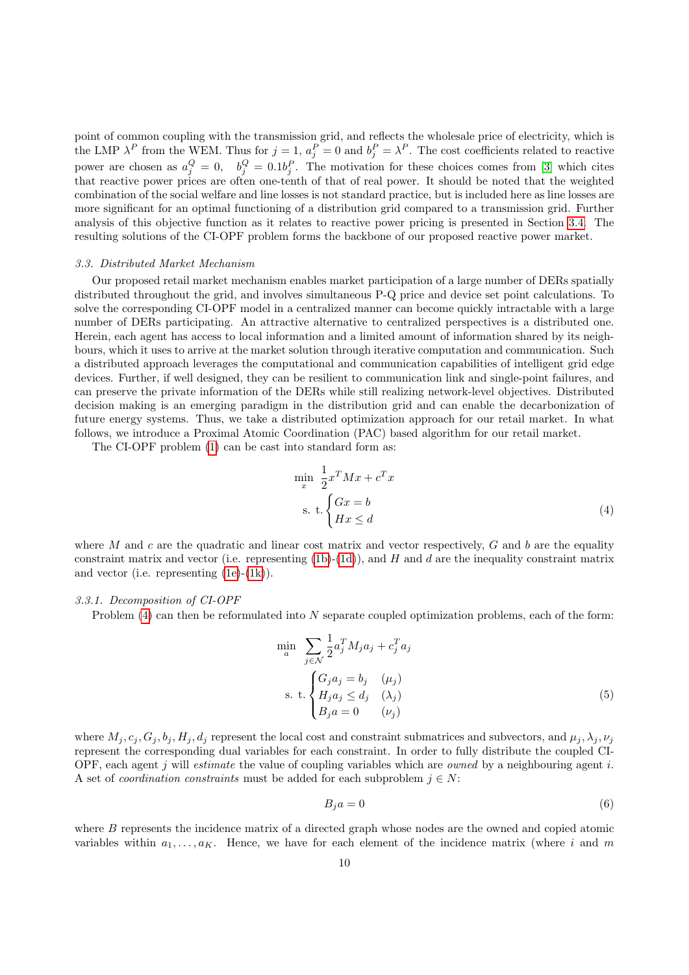point of common coupling with the transmission grid, and reflects the wholesale price of electricity, which is the LMP  $\lambda^P$  from the WEM. Thus for  $j=1$ ,  $a_j^P=0$  and  $b_j^P=\lambda^P$ . The cost coefficients related to reactive power are chosen as  $a_j^Q = 0$ ,  $b_j^Q = 0.1b_j^P$ . The motivation for these choices comes from [\[3\]](#page-19-2) which cites that reactive power prices are often one-tenth of that of real power. It should be noted that the weighted combination of the social welfare and line losses is not standard practice, but is included here as line losses are more significant for an optimal functioning of a distribution grid compared to a transmission grid. Further analysis of this objective function as it relates to reactive power pricing is presented in Section [3.4.](#page-10-0) The resulting solutions of the CI-OPF problem forms the backbone of our proposed reactive power market.

# 3.3. Distributed Market Mechanism

Our proposed retail market mechanism enables market participation of a large number of DERs spatially distributed throughout the grid, and involves simultaneous P-Q price and device set point calculations. To solve the corresponding CI-OPF model in a centralized manner can become quickly intractable with a large number of DERs participating. An attractive alternative to centralized perspectives is a distributed one. Herein, each agent has access to local information and a limited amount of information shared by its neighbours, which it uses to arrive at the market solution through iterative computation and communication. Such a distributed approach leverages the computational and communication capabilities of intelligent grid edge devices. Further, if well designed, they can be resilient to communication link and single-point failures, and can preserve the private information of the DERs while still realizing network-level objectives. Distributed decision making is an emerging paradigm in the distribution grid and can enable the decarbonization of future energy systems. Thus, we take a distributed optimization approach for our retail market. In what follows, we introduce a Proximal Atomic Coordination (PAC) based algorithm for our retail market.

The CI-OPF problem [\(1\)](#page-7-5) can be cast into standard form as:

<span id="page-9-0"></span>
$$
\min_{x} \frac{1}{2} x^{T} M x + c^{T} x
$$
\n
$$
\text{s. t.} \begin{cases} Gx = b \\ Hx \leq d \end{cases} \tag{4}
$$

where M and c are the quadratic and linear cost matrix and vector respectively,  $G$  and  $b$  are the equality constraint matrix and vector (i.e. representing  $(1b)-(1d)$  $(1b)-(1d)$ ), and H and d are the inequality constraint matrix and vector (i.e. representing [\(1e\)](#page-8-0)-[\(1k\)](#page-8-1)).

### 3.3.1. Decomposition of CI-OPF

Problem [\(4\)](#page-9-0) can then be reformulated into N separate coupled optimization problems, each of the form:

$$
\min_{a} \sum_{j \in \mathcal{N}} \frac{1}{2} a_j^T M_j a_j + c_j^T a_j
$$
\n
$$
\text{s. t.} \begin{cases} G_j a_j = b_j & (\mu_j) \\ H_j a_j \le d_j & (\lambda_j) \\ B_j a = 0 & (\nu_j) \end{cases} \tag{5}
$$

where  $M_i$ ,  $c_i$ ,  $G_i$ ,  $b_i$ ,  $H_i$ ,  $d_i$  represent the local cost and constraint submatrices and subvectors, and  $\mu_i$ ,  $\lambda_i$ ,  $\nu_i$ represent the corresponding dual variables for each constraint. In order to fully distribute the coupled CI-OPF, each agent  $j$  will *estimate* the value of coupling variables which are *owned* by a neighbouring agent  $i$ . A set of *coordination constraints* must be added for each subproblem  $j \in N$ :

<span id="page-9-1"></span>
$$
B_j a = 0 \tag{6}
$$

where B represents the incidence matrix of a directed graph whose nodes are the owned and copied atomic variables within  $a_1, \ldots, a_K$ . Hence, we have for each element of the incidence matrix (where i and m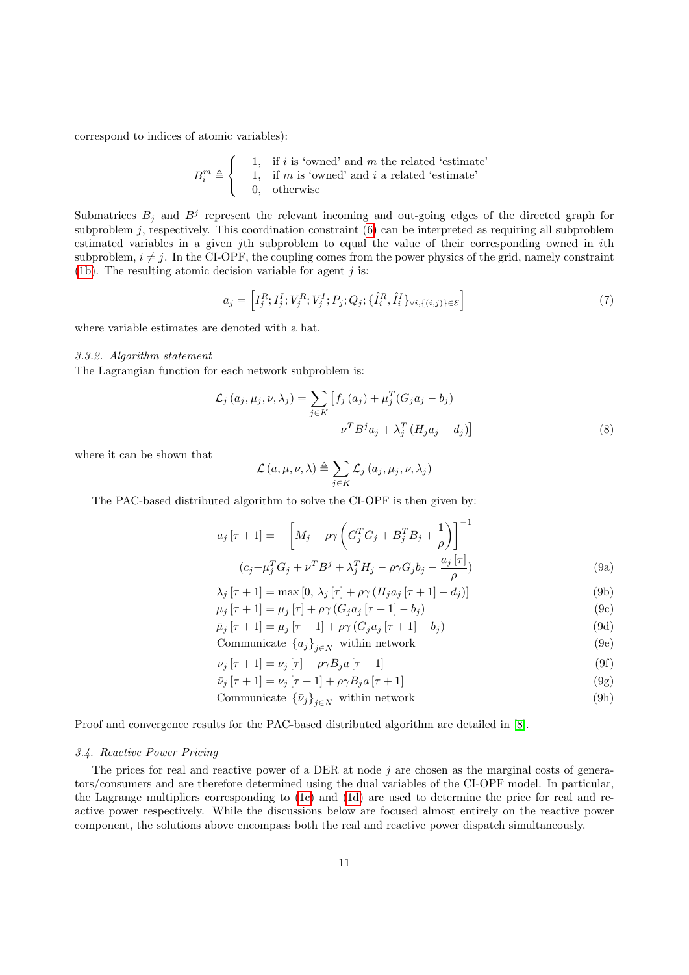correspond to indices of atomic variables):

$$
B_i^m \triangleq \left\{ \begin{array}{ll} -1, & \text{if } i \text{ is 'owned' and } m \text{ the related 'estimate'}\\ 1, & \text{if } m \text{ is 'owned' and } i \text{ a related 'estimate'}\\ 0, & \text{otherwise} \end{array} \right.
$$

Submatrices  $B_j$  and  $B^j$  represent the relevant incoming and out-going edges of the directed graph for subproblem  $j$ , respectively. This coordination constraint  $(6)$  can be interpreted as requiring all subproblem estimated variables in a given jth subproblem to equal the value of their corresponding owned in ith subproblem,  $i \neq j$ . In the CI-OPF, the coupling comes from the power physics of the grid, namely constraint [\(1b\)](#page-7-1). The resulting atomic decision variable for agent  $j$  is:

$$
a_j = \left[ I_j^R; I_j^I; V_j^R; V_j^I; P_j; Q_j; \{\hat{I}_i^R, \hat{I}_i^I\}_{\forall i, \{(i,j)\}\in \mathcal{E}} \right]
$$
\n(7)

where variable estimates are denoted with a hat.

#### 3.3.2. Algorithm statement

The Lagrangian function for each network subproblem is:

$$
\mathcal{L}_j(a_j, \mu_j, \nu, \lambda_j) = \sum_{j \in K} \left[ f_j(a_j) + \mu_j^T (G_j a_j - b_j) + \nu^T B^j a_j + \lambda_j^T (H_j a_j - d_j) \right]
$$
\n(8)

where it can be shown that

<span id="page-10-1"></span>
$$
\mathcal{L}\left(a,\mu,\nu,\lambda\right) \triangleq \sum_{j\in K} \mathcal{L}_j\left(a_j,\mu_j,\nu,\lambda_j\right)
$$

The PAC-based distributed algorithm to solve the CI-OPF is then given by:

$$
a_j \left[ \tau + 1 \right] = -\left[ M_j + \rho \gamma \left( G_j^T G_j + B_j^T B_j + \frac{1}{\rho} \right) \right]^{-1}
$$
  

$$
(c_j + \mu_j^T G_j + \nu^T B^j + \lambda_j^T H_j - \rho \gamma G_j b_j - \frac{a_j \left[ \tau \right]}{\rho})
$$
(9a)

$$
\lambda_j \left[ \tau + 1 \right] = \max \left[ 0, \lambda_j \left[ \tau \right] + \rho \gamma \left( H_j a_j \left[ \tau + 1 \right] - d_j \right) \right] \tag{9b}
$$

$$
\mu_j [\tau + 1] = \mu_j [\tau] + \rho \gamma (G_j a_j [\tau + 1] - b_j)
$$
\n(9c)

$$
\bar{\mu}_j [\tau + 1] = \mu_j [\tau + 1] + \rho \gamma (G_j a_j [\tau + 1] - b_j)
$$
\n(9d)

$$
Communication \{a_j\}_{j \in N} \text{ within network} \tag{9e}
$$

$$
\nu_j \left[ \tau + 1 \right] = \nu_j \left[ \tau \right] + \rho \gamma B_j a \left[ \tau + 1 \right] \tag{9f}
$$

$$
\bar{\nu}_j \left[ \tau + 1 \right] = \nu_j \left[ \tau + 1 \right] + \rho \gamma B_j a \left[ \tau + 1 \right] \tag{9g}
$$

$$
Communication\ \{\bar{\nu}_j\}_{j \in N}\ \text{within network} \tag{9h}
$$

Proof and convergence results for the PAC-based distributed algorithm are detailed in [\[8\]](#page-19-7).

# <span id="page-10-0"></span>3.4. Reactive Power Pricing

The prices for real and reactive power of a DER at node  $j$  are chosen as the marginal costs of generators/consumers and are therefore determined using the dual variables of the CI-OPF model. In particular, the Lagrange multipliers corresponding to [\(1c\)](#page-7-2) and [\(1d\)](#page-7-3) are used to determine the price for real and reactive power respectively. While the discussions below are focused almost entirely on the reactive power component, the solutions above encompass both the real and reactive power dispatch simultaneously.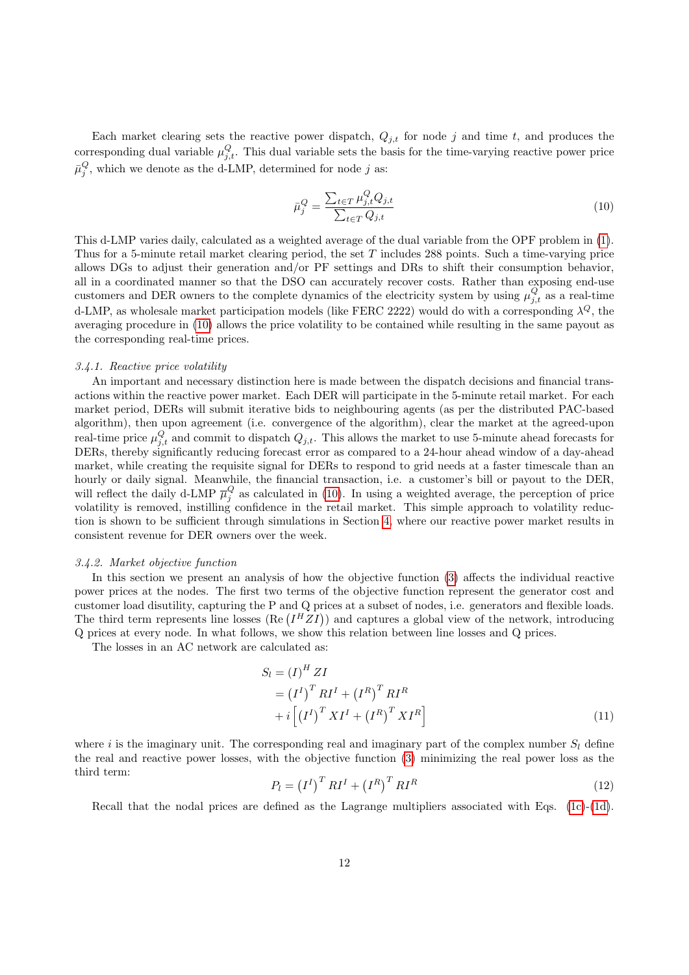Each market clearing sets the reactive power dispatch,  $Q_{j,t}$  for node j and time t, and produces the corresponding dual variable  $\mu_{j,t}^Q$ . This dual variable sets the basis for the time-varying reactive power price  $\bar{\mu}_j^Q$ , which we denote as the d-LMP, determined for node j as:

<span id="page-11-0"></span>
$$
\bar{\mu}_j^Q = \frac{\sum_{t \in T} \mu_{j,t}^Q Q_{j,t}}{\sum_{t \in T} Q_{j,t}}\tag{10}
$$

This d-LMP varies daily, calculated as a weighted average of the dual variable from the OPF problem in [\(1\)](#page-7-5). Thus for a 5-minute retail market clearing period, the set T includes 288 points. Such a time-varying price allows DGs to adjust their generation and/or PF settings and DRs to shift their consumption behavior, all in a coordinated manner so that the DSO can accurately recover costs. Rather than exposing end-use customers and DER owners to the complete dynamics of the electricity system by using  $\mu_{j,t}^Q$  as a real-time d-LMP, as wholesale market participation models (like FERC 2222) would do with a corresponding  $\lambda^{Q}$ , the averaging procedure in [\(10\)](#page-11-0) allows the price volatility to be contained while resulting in the same payout as the corresponding real-time prices.

# 3.4.1. Reactive price volatility

An important and necessary distinction here is made between the dispatch decisions and financial transactions within the reactive power market. Each DER will participate in the 5-minute retail market. For each market period, DERs will submit iterative bids to neighbouring agents (as per the distributed PAC-based algorithm), then upon agreement (i.e. convergence of the algorithm), clear the market at the agreed-upon real-time price  $\mu_{j,t}^Q$  and commit to dispatch  $Q_{j,t}$ . This allows the market to use 5-minute ahead forecasts for DERs, thereby significantly reducing forecast error as compared to a 24-hour ahead window of a day-ahead market, while creating the requisite signal for DERs to respond to grid needs at a faster timescale than an hourly or daily signal. Meanwhile, the financial transaction, i.e. a customer's bill or payout to the DER, will reflect the daily d-LMP  $\overline{\mu}_{j}^{Q}$  as calculated in [\(10\)](#page-11-0). In using a weighted average, the perception of price volatility is removed, instilling confidence in the retail market. This simple approach to volatility reduction is shown to be sufficient through simulations in Section [4,](#page-12-0) where our reactive power market results in consistent revenue for DER owners over the week.

# 3.4.2. Market objective function

In this section we present an analysis of how the objective function [\(3\)](#page-8-2) affects the individual reactive power prices at the nodes. The first two terms of the objective function represent the generator cost and customer load disutility, capturing the P and Q prices at a subset of nodes, i.e. generators and flexible loads. The third term represents line losses (Re  $(I^H Z I)$ ) and captures a global view of the network, introducing Q prices at every node. In what follows, we show this relation between line losses and Q prices.

The losses in an AC network are calculated as:

$$
S_l = (I)^H ZI
$$
  
=  $(I^I)^T RI^I + (I^R)^T RI^R$   
+  $i [(I^I)^T XI^I + (I^R)^T XI^R]$  (11)

where i is the imaginary unit. The corresponding real and imaginary part of the complex number  $S_l$  define the real and reactive power losses, with the objective function [\(3\)](#page-8-2) minimizing the real power loss as the third term:

<span id="page-11-1"></span>
$$
P_l = (I^I)^T R I^I + (I^R)^T R I^R \tag{12}
$$

Recall that the nodal prices are defined as the Lagrange multipliers associated with Eqs.  $(1c)-(1d)$  $(1c)-(1d)$ .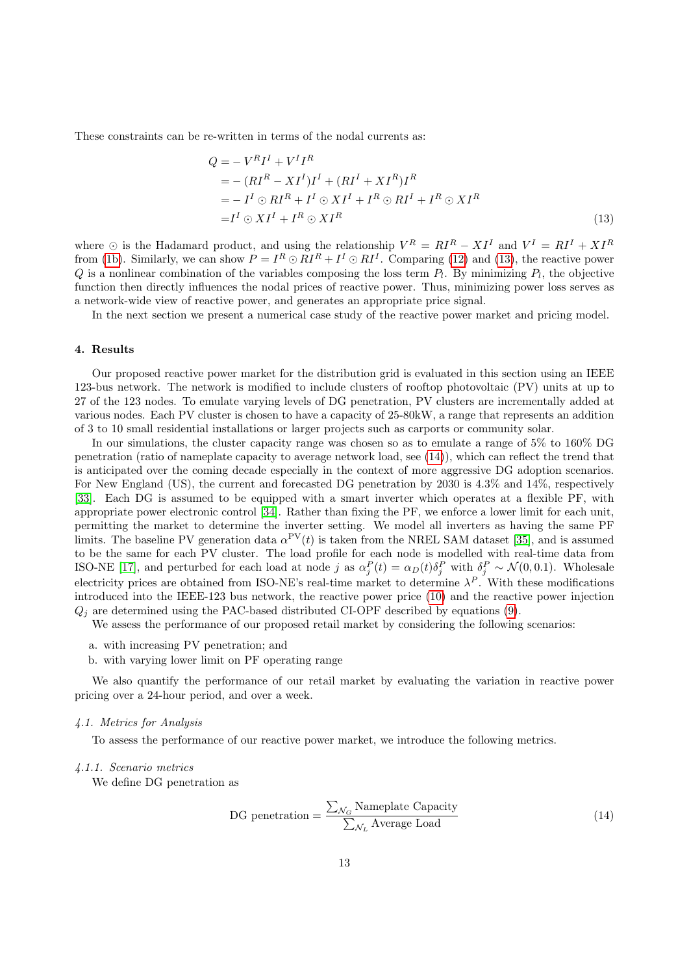These constraints can be re-written in terms of the nodal currents as:

<span id="page-12-1"></span>
$$
Q = -V^R I^I + V^I I^R
$$
  
= - (RI<sup>R</sup> – XI<sup>I</sup>)I<sup>I</sup> + (RI<sup>I</sup> + XI<sup>R</sup>)I<sup>R</sup>  
= - I<sup>I</sup> ⊙ RI<sup>R</sup> + I<sup>I</sup> ⊙ XI<sup>I</sup> + I<sup>R</sup> ⊕ RI<sup>I</sup> + I<sup>R</sup> ⊕ XI<sup>R</sup>  
= I<sup>I</sup> ⊙ XI<sup>I</sup> + I<sup>R</sup> ⊕ XI<sup>R</sup> (13)

where  $\odot$  is the Hadamard product, and using the relationship  $V^R = RI^R - XI^I$  and  $V^I = RI^I + XI^R$ from [\(1b\)](#page-7-1). Similarly, we can show  $P = I^R \odot RI^R + I^I \odot RI^I$ . Comparing [\(12\)](#page-11-1) and [\(13\)](#page-12-1), the reactive power Q is a nonlinear combination of the variables composing the loss term  $P_l$ . By minimizing  $P_l$ , the objective function then directly influences the nodal prices of reactive power. Thus, minimizing power loss serves as a network-wide view of reactive power, and generates an appropriate price signal.

In the next section we present a numerical case study of the reactive power market and pricing model.

### <span id="page-12-0"></span>4. Results

Our proposed reactive power market for the distribution grid is evaluated in this section using an IEEE 123-bus network. The network is modified to include clusters of rooftop photovoltaic (PV) units at up to 27 of the 123 nodes. To emulate varying levels of DG penetration, PV clusters are incrementally added at various nodes. Each PV cluster is chosen to have a capacity of 25-80kW, a range that represents an addition of 3 to 10 small residential installations or larger projects such as carports or community solar.

In our simulations, the cluster capacity range was chosen so as to emulate a range of 5% to 160% DG penetration (ratio of nameplate capacity to average network load, see [\(14\)](#page-12-2)), which can reflect the trend that is anticipated over the coming decade especially in the context of more aggressive DG adoption scenarios. For New England (US), the current and forecasted DG penetration by 2030 is 4.3% and 14%, respectively [\[33\]](#page-20-8). Each DG is assumed to be equipped with a smart inverter which operates at a flexible PF, with appropriate power electronic control [\[34\]](#page-20-9). Rather than fixing the PF, we enforce a lower limit for each unit, permitting the market to determine the inverter setting. We model all inverters as having the same PF limits. The baseline PV generation data  $\alpha^{\text{PV}}(t)$  is taken from the NREL SAM dataset [\[35\]](#page-20-10), and is assumed to be the same for each PV cluster. The load profile for each node is modelled with real-time data from ISO-NE [\[17\]](#page-19-16), and perturbed for each load at node j as  $\alpha_j^P(t) = \alpha_D(t)\delta_j^P$  with  $\delta_j^P \sim \mathcal{N}(0,0.1)$ . Wholesale electricity prices are obtained from ISO-NE's real-time market to determine  $\lambda^P$ . With these modifications introduced into the IEEE-123 bus network, the reactive power price [\(10\)](#page-11-0) and the reactive power injection  $Q_i$  are determined using the PAC-based distributed CI-OPF described by equations [\(9\)](#page-10-1).

We assess the performance of our proposed retail market by considering the following scenarios:

- a. with increasing PV penetration; and
- b. with varying lower limit on PF operating range

We also quantify the performance of our retail market by evaluating the variation in reactive power pricing over a 24-hour period, and over a week.

### 4.1. Metrics for Analysis

To assess the performance of our reactive power market, we introduce the following metrics.

## 4.1.1. Scenario metrics

We define DG penetration as

<span id="page-12-2"></span>DG penetration = 
$$
\frac{\sum_{\mathcal{N}_G} \text{Nameplate Capacity}}{\sum_{\mathcal{N}_L} \text{Average Load}}
$$
 (14)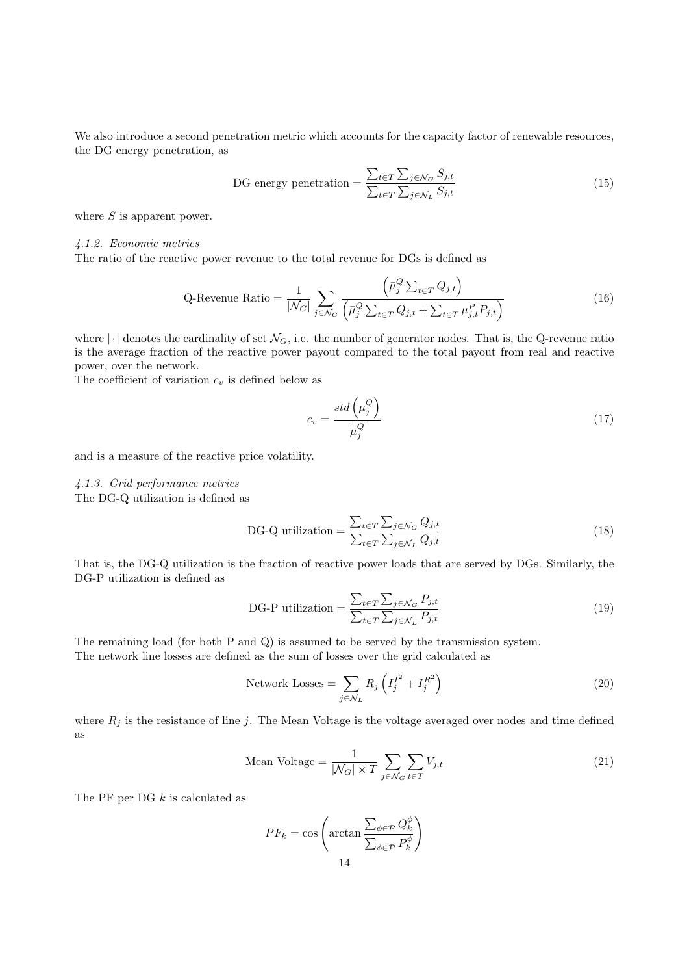We also introduce a second penetration metric which accounts for the capacity factor of renewable resources, the DG energy penetration, as

DG energy penetration = 
$$
\frac{\sum_{t \in T} \sum_{j \in \mathcal{N}_G} S_{j,t}}{\sum_{t \in T} \sum_{j \in \mathcal{N}_L} S_{j,t}}
$$
(15)

where  $S$  is apparent power.

4.1.2. Economic metrics

The ratio of the reactive power revenue to the total revenue for DGs is defined as

Q-Revenue Ratio = 
$$
\frac{1}{|\mathcal{N}_G|} \sum_{j \in \mathcal{N}_G} \frac{\left(\bar{\mu}_j^Q \sum_{t \in T} Q_{j,t}\right)}{\left(\bar{\mu}_j^Q \sum_{t \in T} Q_{j,t} + \sum_{t \in T} \mu_{j,t}^P P_{j,t}\right)}
$$
(16)

where  $|\cdot|$  denotes the cardinality of set  $\mathcal{N}_G$ , i.e. the number of generator nodes. That is, the Q-revenue ratio is the average fraction of the reactive power payout compared to the total payout from real and reactive power, over the network.

The coefficient of variation  $c_v$  is defined below as

$$
c_v = \frac{std\left(\mu_j^Q\right)}{\overline{\mu_j^Q}}
$$
\n<sup>(17)</sup>

and is a measure of the reactive price volatility.

# 4.1.3. Grid performance metrics

The DG-Q utilization is defined as

DG-Q utilization = 
$$
\frac{\sum_{t \in T} \sum_{j \in \mathcal{N}_G} Q_{j,t}}{\sum_{t \in T} \sum_{j \in \mathcal{N}_L} Q_{j,t}}
$$
(18)

That is, the DG-Q utilization is the fraction of reactive power loads that are served by DGs. Similarly, the DG-P utilization is defined as

DG-P utilization = 
$$
\frac{\sum_{t \in T} \sum_{j \in \mathcal{N}_G} P_{j,t}}{\sum_{t \in T} \sum_{j \in \mathcal{N}_L} P_{j,t}}
$$
(19)

The remaining load (for both P and Q) is assumed to be served by the transmission system. The network line losses are defined as the sum of losses over the grid calculated as

Network Losses = 
$$
\sum_{j \in \mathcal{N}_L} R_j \left( I_j^{I^2} + I_j^{R^2} \right)
$$
 (20)

where  $R_j$  is the resistance of line j. The Mean Voltage is the voltage averaged over nodes and time defined as

Mean Voltage = 
$$
\frac{1}{|\mathcal{N}_G| \times T} \sum_{j \in \mathcal{N}_G} \sum_{t \in T} V_{j,t}
$$
 (21)

The PF per DG  $k$  is calculated as

$$
PF_k = \cos\left(\arctan\frac{\sum_{\phi \in \mathcal{P}} Q_k^{\phi}}{\sum_{\phi \in \mathcal{P}} P_k^{\phi}}\right)
$$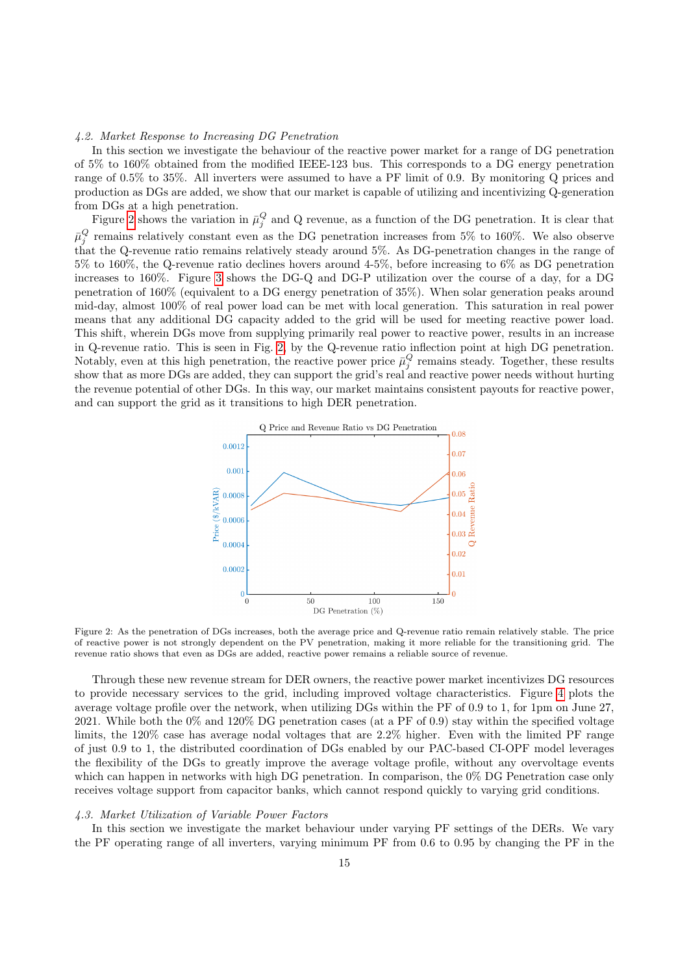# 4.2. Market Response to Increasing DG Penetration

In this section we investigate the behaviour of the reactive power market for a range of DG penetration of 5% to 160% obtained from the modified IEEE-123 bus. This corresponds to a DG energy penetration range of 0.5% to 35%. All inverters were assumed to have a PF limit of 0.9. By monitoring Q prices and production as DGs are added, we show that our market is capable of utilizing and incentivizing Q-generation from DGs at a high penetration.

Figure [2](#page-14-0) shows the variation in  $\bar{\mu}_j^Q$  and Q revenue, as a function of the DG penetration. It is clear that  $\bar{\mu}_{j}^{Q}$  remains relatively constant even as the DG penetration increases from 5% to 160%. We also observe that the Q-revenue ratio remains relatively steady around 5%. As DG-penetration changes in the range of 5% to 160%, the Q-revenue ratio declines hovers around 4-5%, before increasing to 6% as DG penetration increases to 160%. Figure [3](#page-15-0) shows the DG-Q and DG-P utilization over the course of a day, for a DG penetration of 160% (equivalent to a DG energy penetration of 35%). When solar generation peaks around mid-day, almost 100% of real power load can be met with local generation. This saturation in real power means that any additional DG capacity added to the grid will be used for meeting reactive power load. This shift, wherein DGs move from supplying primarily real power to reactive power, results in an increase in Q-revenue ratio. This is seen in Fig. [2,](#page-14-0) by the Q-revenue ratio inflection point at high DG penetration. Notably, even at this high penetration, the reactive power price  $\bar{\mu}_j^Q$  remains steady. Together, these results show that as more DGs are added, they can support the grid's real and reactive power needs without hurting the revenue potential of other DGs. In this way, our market maintains consistent payouts for reactive power, and can support the grid as it transitions to high DER penetration.

<span id="page-14-0"></span>

Figure 2: As the penetration of DGs increases, both the average price and Q-revenue ratio remain relatively stable. The price of reactive power is not strongly dependent on the PV penetration, making it more reliable for the transitioning grid. The revenue ratio shows that even as DGs are added, reactive power remains a reliable source of revenue.

Through these new revenue stream for DER owners, the reactive power market incentivizes DG resources to provide necessary services to the grid, including improved voltage characteristics. Figure [4](#page-15-1) plots the average voltage profile over the network, when utilizing DGs within the PF of 0.9 to 1, for 1pm on June 27, 2021. While both the 0% and 120% DG penetration cases (at a PF of 0.9) stay within the specified voltage limits, the 120% case has average nodal voltages that are 2.2% higher. Even with the limited PF range of just 0.9 to 1, the distributed coordination of DGs enabled by our PAC-based CI-OPF model leverages the flexibility of the DGs to greatly improve the average voltage profile, without any overvoltage events which can happen in networks with high DG penetration. In comparison, the 0% DG Penetration case only receives voltage support from capacitor banks, which cannot respond quickly to varying grid conditions.

# 4.3. Market Utilization of Variable Power Factors

In this section we investigate the market behaviour under varying PF settings of the DERs. We vary the PF operating range of all inverters, varying minimum PF from 0.6 to 0.95 by changing the PF in the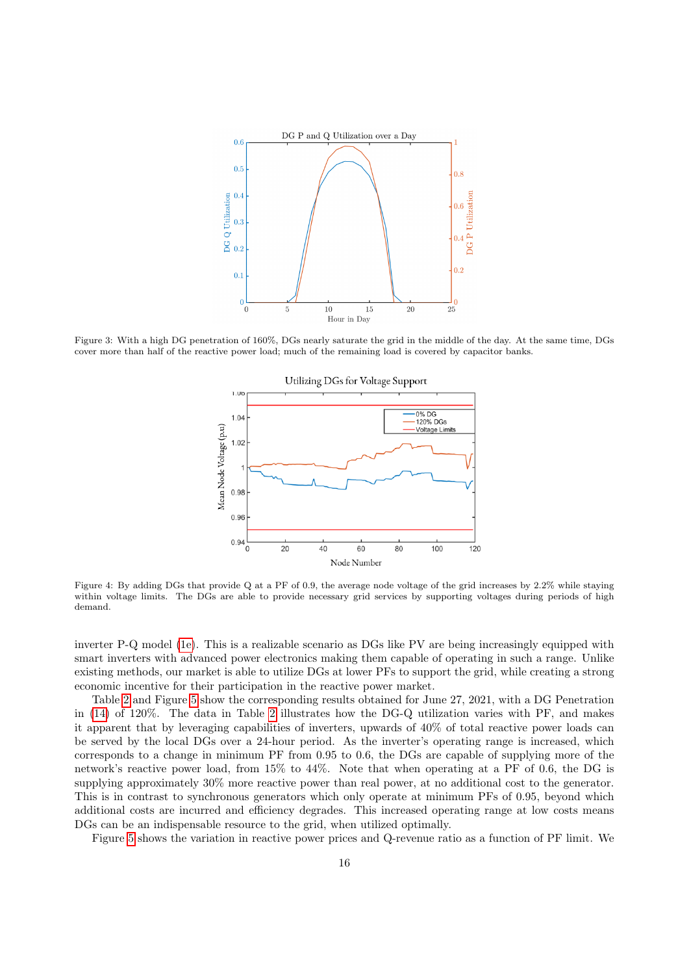<span id="page-15-0"></span>

<span id="page-15-1"></span>Figure 3: With a high DG penetration of 160%, DGs nearly saturate the grid in the middle of the day. At the same time, DGs cover more than half of the reactive power load; much of the remaining load is covered by capacitor banks.



Figure 4: By adding DGs that provide Q at a PF of 0.9, the average node voltage of the grid increases by 2.2% while staying within voltage limits. The DGs are able to provide necessary grid services by supporting voltages during periods of high demand.

inverter P-Q model [\(1e\)](#page-8-0). This is a realizable scenario as DGs like PV are being increasingly equipped with smart inverters with advanced power electronics making them capable of operating in such a range. Unlike existing methods, our market is able to utilize DGs at lower PFs to support the grid, while creating a strong economic incentive for their participation in the reactive power market.

Table [2](#page-16-0) and Figure [5](#page-16-1) show the corresponding results obtained for June 27, 2021, with a DG Penetration in [\(14\)](#page-12-2) of 120%. The data in Table [2](#page-16-0) illustrates how the DG-Q utilization varies with PF, and makes it apparent that by leveraging capabilities of inverters, upwards of 40% of total reactive power loads can be served by the local DGs over a 24-hour period. As the inverter's operating range is increased, which corresponds to a change in minimum PF from 0.95 to 0.6, the DGs are capable of supplying more of the network's reactive power load, from 15% to 44%. Note that when operating at a PF of 0.6, the DG is supplying approximately 30% more reactive power than real power, at no additional cost to the generator. This is in contrast to synchronous generators which only operate at minimum PFs of 0.95, beyond which additional costs are incurred and efficiency degrades. This increased operating range at low costs means DGs can be an indispensable resource to the grid, when utilized optimally.

Figure [5](#page-16-1) shows the variation in reactive power prices and Q-revenue ratio as a function of PF limit. We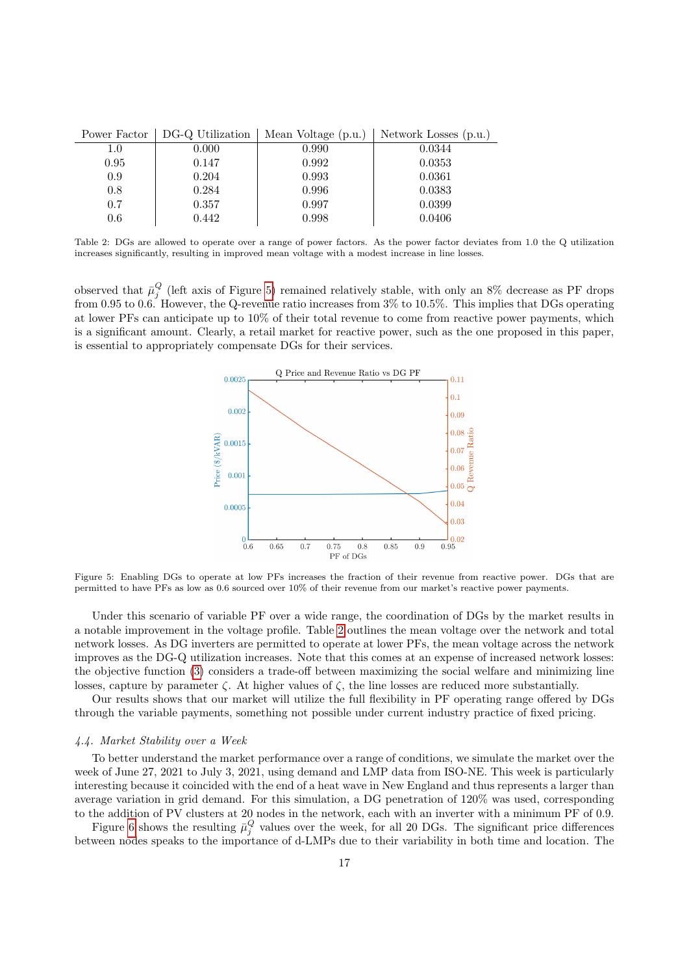<span id="page-16-0"></span>

|         | Power Factor   DG-Q Utilization | Mean Voltage (p.u.) | Network Losses (p.u.) |
|---------|---------------------------------|---------------------|-----------------------|
| 1.0     | 0.000                           | 0.990               | 0.0344                |
| 0.95    | 0.147                           | 0.992               | 0.0353                |
| 0.9     | 0.204                           | 0.993               | 0.0361                |
| 0.8     | 0.284                           | 0.996               | 0.0383                |
| 0.7     | 0.357                           | 0.997               | 0.0399                |
| $0.6\,$ | 0.442                           | 0.998               | 0.0406                |

Table 2: DGs are allowed to operate over a range of power factors. As the power factor deviates from 1.0 the Q utilization increases significantly, resulting in improved mean voltage with a modest increase in line losses.

<span id="page-16-1"></span>observed that  $\bar{\mu}_j^Q$  (left axis of Figure [5\)](#page-16-1) remained relatively stable, with only an 8% decrease as PF drops from 0.95 to 0.6. However, the Q-revenue ratio increases from 3% to 10.5%. This implies that DGs operating at lower PFs can anticipate up to 10% of their total revenue to come from reactive power payments, which is a significant amount. Clearly, a retail market for reactive power, such as the one proposed in this paper, is essential to appropriately compensate DGs for their services.



Figure 5: Enabling DGs to operate at low PFs increases the fraction of their revenue from reactive power. DGs that are permitted to have PFs as low as 0.6 sourced over 10% of their revenue from our market's reactive power payments.

Under this scenario of variable PF over a wide range, the coordination of DGs by the market results in a notable improvement in the voltage profile. Table [2](#page-16-0) outlines the mean voltage over the network and total network losses. As DG inverters are permitted to operate at lower PFs, the mean voltage across the network improves as the DG-Q utilization increases. Note that this comes at an expense of increased network losses: the objective function [\(3\)](#page-8-2) considers a trade-off between maximizing the social welfare and minimizing line losses, capture by parameter  $\zeta$ . At higher values of  $\zeta$ , the line losses are reduced more substantially.

Our results shows that our market will utilize the full flexibility in PF operating range offered by DGs through the variable payments, something not possible under current industry practice of fixed pricing.

### 4.4. Market Stability over a Week

To better understand the market performance over a range of conditions, we simulate the market over the week of June 27, 2021 to July 3, 2021, using demand and LMP data from ISO-NE. This week is particularly interesting because it coincided with the end of a heat wave in New England and thus represents a larger than average variation in grid demand. For this simulation, a DG penetration of 120% was used, corresponding to the addition of PV clusters at 20 nodes in the network, each with an inverter with a minimum PF of 0.9.

Figure [6](#page-17-0) shows the resulting  $\bar{\mu}_j^Q$  values over the week, for all 20 DGs. The significant price differences between nodes speaks to the importance of d-LMPs due to their variability in both time and location. The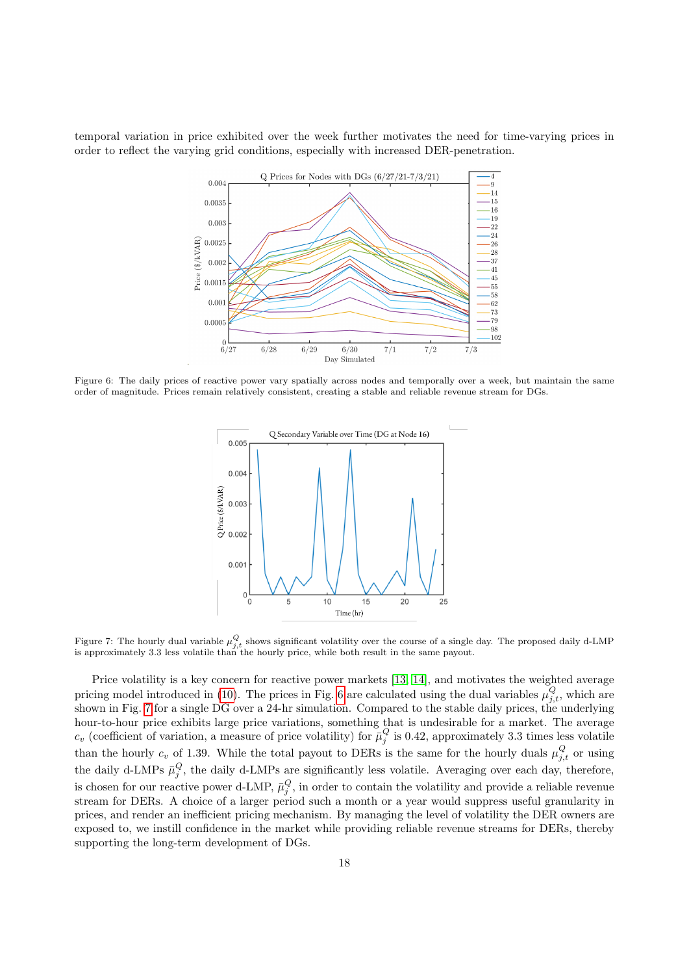<span id="page-17-0"></span>temporal variation in price exhibited over the week further motivates the need for time-varying prices in order to reflect the varying grid conditions, especially with increased DER-penetration.



<span id="page-17-1"></span>Figure 6: The daily prices of reactive power vary spatially across nodes and temporally over a week, but maintain the same order of magnitude. Prices remain relatively consistent, creating a stable and reliable revenue stream for DGs.



Figure 7: The hourly dual variable  $\mu_{j,t}^Q$  shows significant volatility over the course of a single day. The proposed daily d-LMP is approximately 3.3 less volatile than the hourly price, while both result in the same payout.

Price volatility is a key concern for reactive power markets [\[13,](#page-19-12) [14\]](#page-19-13), and motivates the weighted average pricing model introduced in [\(10\)](#page-11-0). The prices in Fig. [6](#page-17-0) are calculated using the dual variables  $\mu_{j,t}^Q$ , which are shown in Fig. [7](#page-17-1) for a single DG over a 24-hr simulation. Compared to the stable daily prices, the underlying hour-to-hour price exhibits large price variations, something that is undesirable for a market. The average  $c_v$  (coefficient of variation, a measure of price volatility) for  $\bar{\mu}_j^Q$  is 0.42, approximately 3.3 times less volatile than the hourly  $c_v$  of 1.39. While the total payout to DERs is the same for the hourly duals  $\mu_{j,t}^Q$  or using the daily d-LMPs  $\bar{\mu}_j^Q$ , the daily d-LMPs are significantly less volatile. Averaging over each day, therefore, is chosen for our reactive power d-LMP,  $\bar{\mu}_j^Q$ , in order to contain the volatility and provide a reliable revenue stream for DERs. A choice of a larger period such a month or a year would suppress useful granularity in prices, and render an inefficient pricing mechanism. By managing the level of volatility the DER owners are exposed to, we instill confidence in the market while providing reliable revenue streams for DERs, thereby supporting the long-term development of DGs.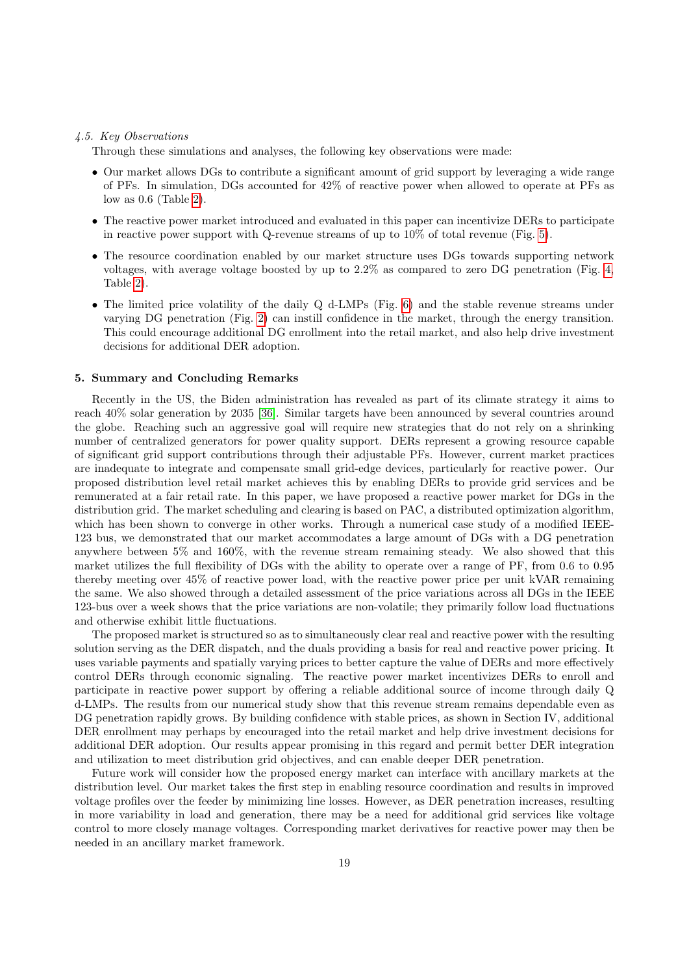### 4.5. Key Observations

Through these simulations and analyses, the following key observations were made:

- Our market allows DGs to contribute a significant amount of grid support by leveraging a wide range of PFs. In simulation, DGs accounted for 42% of reactive power when allowed to operate at PFs as low as 0.6 (Table [2\)](#page-16-0).
- The reactive power market introduced and evaluated in this paper can incentivize DERs to participate in reactive power support with Q-revenue streams of up to  $10\%$  of total revenue (Fig. [5\)](#page-16-1).
- The resource coordination enabled by our market structure uses DGs towards supporting network voltages, with average voltage boosted by up to 2.2% as compared to zero DG penetration (Fig. [4,](#page-15-1) Table [2\)](#page-16-0).
- The limited price volatility of the daily Q d-LMPs (Fig. [6\)](#page-17-0) and the stable revenue streams under varying DG penetration (Fig. [2\)](#page-14-0) can instill confidence in the market, through the energy transition. This could encourage additional DG enrollment into the retail market, and also help drive investment decisions for additional DER adoption.

# <span id="page-18-0"></span>5. Summary and Concluding Remarks

Recently in the US, the Biden administration has revealed as part of its climate strategy it aims to reach 40% solar generation by 2035 [\[36\]](#page-20-11). Similar targets have been announced by several countries around the globe. Reaching such an aggressive goal will require new strategies that do not rely on a shrinking number of centralized generators for power quality support. DERs represent a growing resource capable of significant grid support contributions through their adjustable PFs. However, current market practices are inadequate to integrate and compensate small grid-edge devices, particularly for reactive power. Our proposed distribution level retail market achieves this by enabling DERs to provide grid services and be remunerated at a fair retail rate. In this paper, we have proposed a reactive power market for DGs in the distribution grid. The market scheduling and clearing is based on PAC, a distributed optimization algorithm, which has been shown to converge in other works. Through a numerical case study of a modified IEEE-123 bus, we demonstrated that our market accommodates a large amount of DGs with a DG penetration anywhere between 5% and 160%, with the revenue stream remaining steady. We also showed that this market utilizes the full flexibility of DGs with the ability to operate over a range of PF, from 0.6 to 0.95 thereby meeting over 45% of reactive power load, with the reactive power price per unit kVAR remaining the same. We also showed through a detailed assessment of the price variations across all DGs in the IEEE 123-bus over a week shows that the price variations are non-volatile; they primarily follow load fluctuations and otherwise exhibit little fluctuations.

The proposed market is structured so as to simultaneously clear real and reactive power with the resulting solution serving as the DER dispatch, and the duals providing a basis for real and reactive power pricing. It uses variable payments and spatially varying prices to better capture the value of DERs and more effectively control DERs through economic signaling. The reactive power market incentivizes DERs to enroll and participate in reactive power support by offering a reliable additional source of income through daily Q d-LMPs. The results from our numerical study show that this revenue stream remains dependable even as DG penetration rapidly grows. By building confidence with stable prices, as shown in Section IV, additional DER enrollment may perhaps by encouraged into the retail market and help drive investment decisions for additional DER adoption. Our results appear promising in this regard and permit better DER integration and utilization to meet distribution grid objectives, and can enable deeper DER penetration.

Future work will consider how the proposed energy market can interface with ancillary markets at the distribution level. Our market takes the first step in enabling resource coordination and results in improved voltage profiles over the feeder by minimizing line losses. However, as DER penetration increases, resulting in more variability in load and generation, there may be a need for additional grid services like voltage control to more closely manage voltages. Corresponding market derivatives for reactive power may then be needed in an ancillary market framework.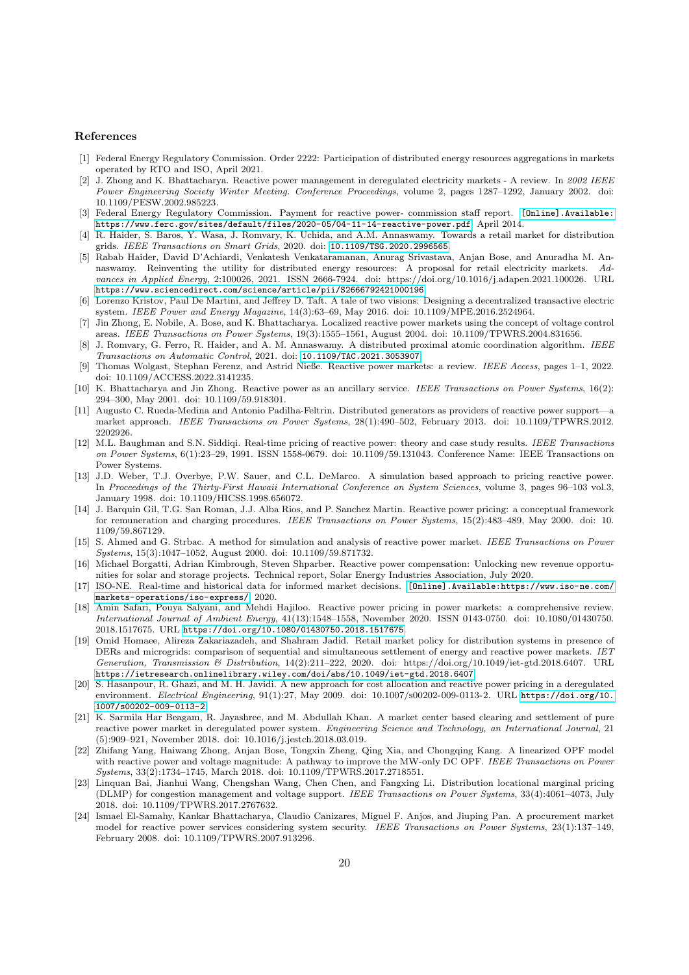### References

- <span id="page-19-0"></span>[1] Federal Energy Regulatory Commission. Order 2222: Participation of distributed energy resources aggregations in markets operated by RTO and ISO, April 2021.
- <span id="page-19-1"></span>[2] J. Zhong and K. Bhattacharya. Reactive power management in deregulated electricity markets - A review. In 2002 IEEE Power Engineering Society Winter Meeting. Conference Proceedings, volume 2, pages 1287–1292, January 2002. doi: 10.1109/PESW.2002.985223.
- <span id="page-19-2"></span>[3] Federal Energy Regulatory Commission. Payment for reactive power- commission staff report. [\[Online\].Available:]([Online]. Available: https://www.ferc.gov/sites/default/files/2020-05/04-11-14-reactive-power.pdf) [https://www.ferc.gov/sites/default/files/2020-05/04-11-14-reactive-power.pdf]([Online]. Available: https://www.ferc.gov/sites/default/files/2020-05/04-11-14-reactive-power.pdf), April 2014.
- <span id="page-19-3"></span>[4] R. Haider, S. Baros, Y. Wasa, J. Romvary, K. Uchida, and A.M. Annaswamy. Towards a retail market for distribution grids. IEEE Transactions on Smart Grids, 2020. doi: <10.1109/TSG.2020.2996565>.
- <span id="page-19-4"></span>[5] Rabab Haider, David D'Achiardi, Venkatesh Venkataramanan, Anurag Srivastava, Anjan Bose, and Anuradha M. Annaswamy. Reinventing the utility for distributed energy resources: A proposal for retail electricity markets. Advances in Applied Energy, 2:100026, 2021. ISSN 2666-7924. doi: https://doi.org/10.1016/j.adapen.2021.100026. URL <https://www.sciencedirect.com/science/article/pii/S2666792421000196>.
- <span id="page-19-5"></span>[6] Lorenzo Kristov, Paul De Martini, and Jeffrey D. Taft. A tale of two visions: Designing a decentralized transactive electric system. IEEE Power and Energy Magazine, 14(3):63–69, May 2016. doi: 10.1109/MPE.2016.2524964.
- <span id="page-19-6"></span>[7] Jin Zhong, E. Nobile, A. Bose, and K. Bhattacharya. Localized reactive power markets using the concept of voltage control areas. IEEE Transactions on Power Systems, 19(3):1555–1561, August 2004. doi: 10.1109/TPWRS.2004.831656.
- <span id="page-19-7"></span>[8] J. Romvary, G. Ferro, R. Haider, and A. M. Annaswamy. A distributed proximal atomic coordination algorithm. IEEE Transactions on Automatic Control, 2021. doi: <10.1109/TAC.2021.3053907>.
- <span id="page-19-8"></span>[9] Thomas Wolgast, Stephan Ferenz, and Astrid Nieße. Reactive power markets: a review. IEEE Access, pages 1–1, 2022. doi: 10.1109/ACCESS.2022.3141235.
- <span id="page-19-9"></span>[10] K. Bhattacharya and Jin Zhong. Reactive power as an ancillary service. IEEE Transactions on Power Systems, 16(2): 294–300, May 2001. doi: 10.1109/59.918301.
- <span id="page-19-10"></span>[11] Augusto C. Rueda-Medina and Antonio Padilha-Feltrin. Distributed generators as providers of reactive power support—a market approach. IEEE Transactions on Power Systems, 28(1):490–502, February 2013. doi: 10.1109/TPWRS.2012. 2202926.
- <span id="page-19-11"></span>[12] M.L. Baughman and S.N. Siddiqi. Real-time pricing of reactive power: theory and case study results. IEEE Transactions on Power Systems, 6(1):23–29, 1991. ISSN 1558-0679. doi: 10.1109/59.131043. Conference Name: IEEE Transactions on Power Systems.
- <span id="page-19-12"></span>[13] J.D. Weber, T.J. Overbye, P.W. Sauer, and C.L. DeMarco. A simulation based approach to pricing reactive power. In Proceedings of the Thirty-First Hawaii International Conference on System Sciences, volume 3, pages 96–103 vol.3, January 1998. doi: 10.1109/HICSS.1998.656072.
- <span id="page-19-13"></span>[14] J. Barquin Gil, T.G. San Roman, J.J. Alba Rios, and P. Sanchez Martin. Reactive power pricing: a conceptual framework for remuneration and charging procedures. IEEE Transactions on Power Systems, 15(2):483–489, May 2000. doi: 10. 1109/59.867129.
- <span id="page-19-14"></span>[15] S. Ahmed and G. Strbac. A method for simulation and analysis of reactive power market. IEEE Transactions on Power Systems, 15(3):1047–1052, August 2000. doi: 10.1109/59.871732.
- <span id="page-19-15"></span>[16] Michael Borgatti, Adrian Kimbrough, Steven Shparber. Reactive power compensation: Unlocking new revenue opportunities for solar and storage projects. Technical report, Solar Energy Industries Association, July 2020.
- <span id="page-19-16"></span>[17] ISO-NE. Real-time and historical data for informed market decisions. [\[Online\].Available:https://www.iso-ne.com/]([Online]. Available: https://www.iso-ne.com/markets-operations/iso-express/) [markets-operations/iso-express/]([Online]. Available: https://www.iso-ne.com/markets-operations/iso-express/), 2020.
- <span id="page-19-17"></span>[18] Amin Safari, Pouya Salyani, and Mehdi Hajiloo. Reactive power pricing in power markets: a comprehensive review. International Journal of Ambient Energy, 41(13):1548–1558, November 2020. ISSN 0143-0750. doi: 10.1080/01430750. 2018.1517675. URL <https://doi.org/10.1080/01430750.2018.1517675>.
- <span id="page-19-18"></span>[19] Omid Homaee, Alireza Zakariazadeh, and Shahram Jadid. Retail market policy for distribution systems in presence of DERs and microgrids: comparison of sequential and simultaneous settlement of energy and reactive power markets. IET Generation, Transmission & Distribution, 14(2):211–222, 2020. doi: https://doi.org/10.1049/iet-gtd.2018.6407. URL <https://ietresearch.onlinelibrary.wiley.com/doi/abs/10.1049/iet-gtd.2018.6407>.
- <span id="page-19-19"></span>[20] S. Hasanpour, R. Ghazi, and M. H. Javidi. A new approach for cost allocation and reactive power pricing in a deregulated environment. Electrical Engineering, 91(1):27, May 2009. doi: 10.1007/s00202-009-0113-2. URL [https://doi.org/10.](https://doi.org/10.1007/s00202-009-0113-2) [1007/s00202-009-0113-2](https://doi.org/10.1007/s00202-009-0113-2).
- <span id="page-19-20"></span>[21] K. Sarmila Har Beagam, R. Jayashree, and M. Abdullah Khan. A market center based clearing and settlement of pure reactive power market in deregulated power system. Engineering Science and Technology, an International Journal, 21 (5):909–921, November 2018. doi: 10.1016/j.jestch.2018.03.019.
- <span id="page-19-21"></span>[22] Zhifang Yang, Haiwang Zhong, Anjan Bose, Tongxin Zheng, Qing Xia, and Chongqing Kang. A linearized OPF model with reactive power and voltage magnitude: A pathway to improve the MW-only DC OPF. IEEE Transactions on Power Systems, 33(2):1734–1745, March 2018. doi: 10.1109/TPWRS.2017.2718551.
- <span id="page-19-22"></span>[23] Linquan Bai, Jianhui Wang, Chengshan Wang, Chen Chen, and Fangxing Li. Distribution locational marginal pricing (DLMP) for congestion management and voltage support. IEEE Transactions on Power Systems, 33(4):4061–4073, July 2018. doi: 10.1109/TPWRS.2017.2767632.
- <span id="page-19-23"></span>[24] Ismael El-Samahy, Kankar Bhattacharya, Claudio Canizares, Miguel F. Anjos, and Jiuping Pan. A procurement market model for reactive power services considering system security. IEEE Transactions on Power Systems, 23(1):137-149, February 2008. doi: 10.1109/TPWRS.2007.913296.